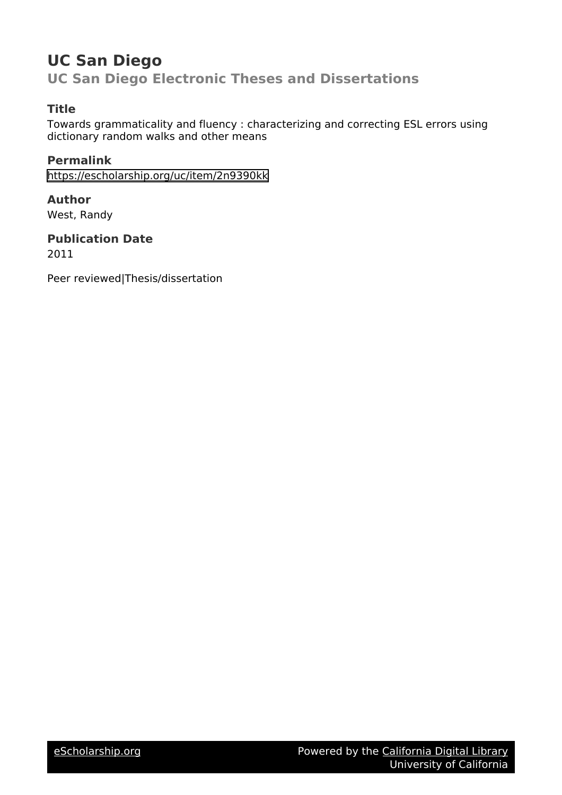## **UC San Diego UC San Diego Electronic Theses and Dissertations**

## **Title**

Towards grammaticality and fluency : characterizing and correcting ESL errors using dictionary random walks and other means

## **Permalink**

<https://escholarship.org/uc/item/2n9390kk>

### **Author** West, Randy

**Publication Date** 2011

Peer reviewed|Thesis/dissertation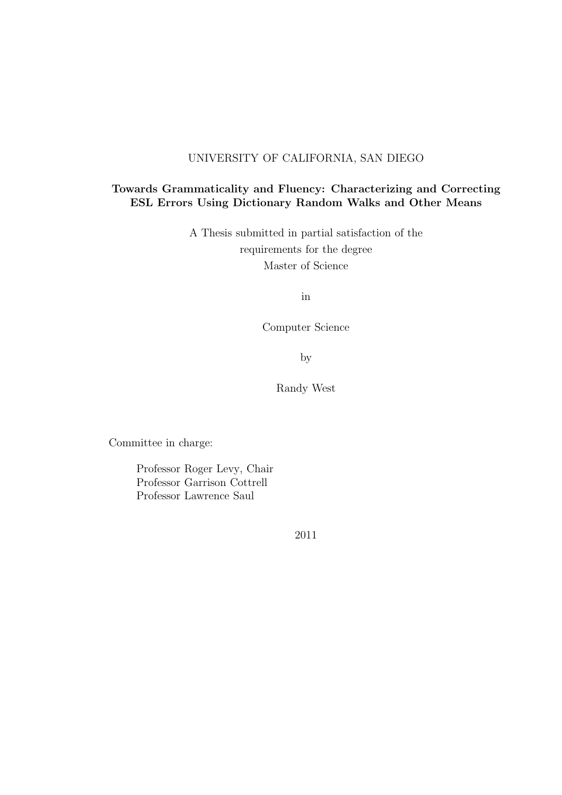### UNIVERSITY OF CALIFORNIA, SAN DIEGO

#### Towards Grammaticality and Fluency: Characterizing and Correcting ESL Errors Using Dictionary Random Walks and Other Means

A Thesis submitted in partial satisfaction of the requirements for the degree Master of Science

in

Computer Science

by

Randy West

Committee in charge:

Professor Roger Levy, Chair Professor Garrison Cottrell Professor Lawrence Saul

2011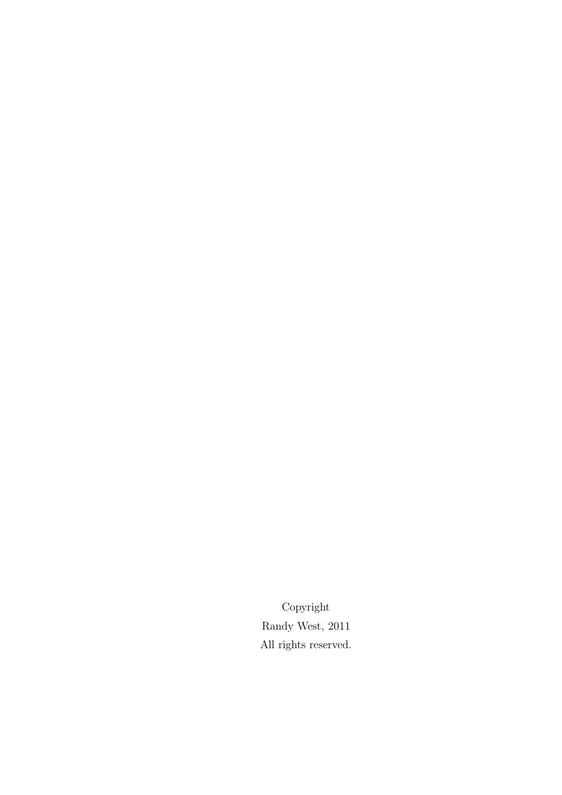Copyright Randy West, 2011 All rights reserved.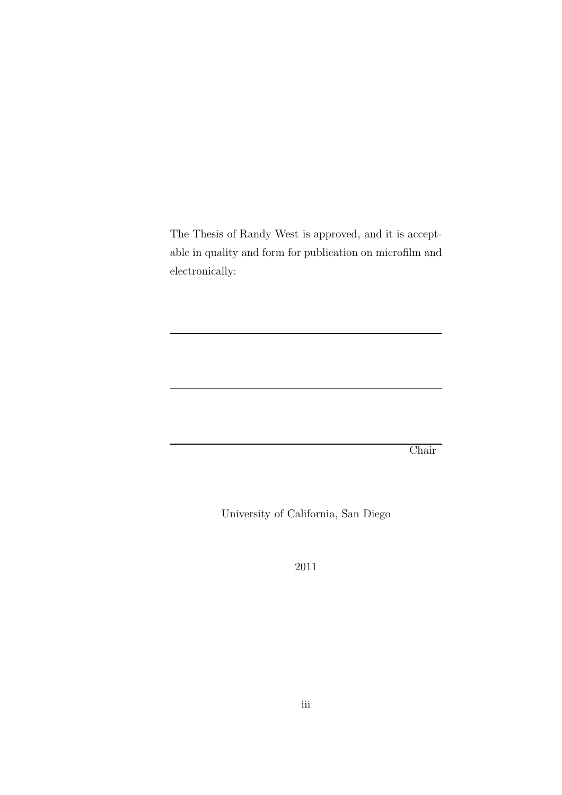The Thesis of Randy West is approved, and it is acceptable in quality and form for publication on microfilm and electronically:

Chair

University of California, San Diego

2011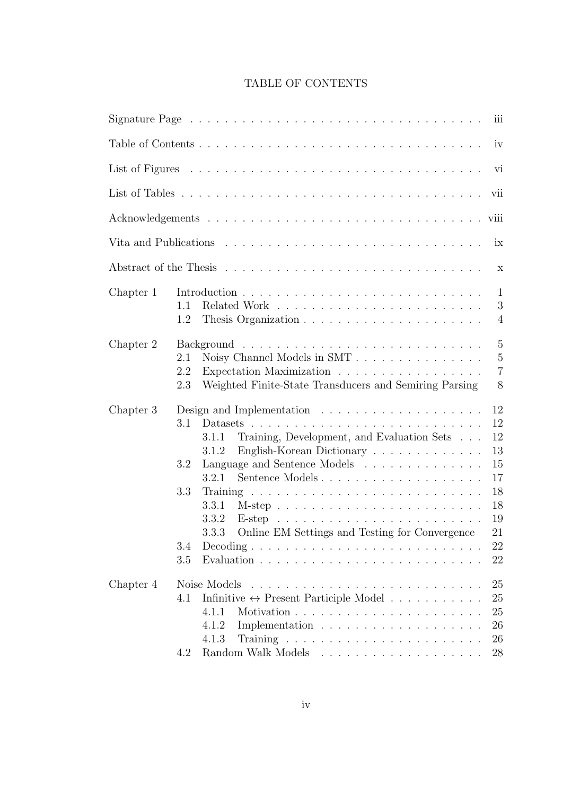## TABLE OF CONTENTS

|           | vi                                                                                                                                                                                                                                                                                                                                                                                                                                                                                                               |
|-----------|------------------------------------------------------------------------------------------------------------------------------------------------------------------------------------------------------------------------------------------------------------------------------------------------------------------------------------------------------------------------------------------------------------------------------------------------------------------------------------------------------------------|
|           | vii                                                                                                                                                                                                                                                                                                                                                                                                                                                                                                              |
|           |                                                                                                                                                                                                                                                                                                                                                                                                                                                                                                                  |
|           |                                                                                                                                                                                                                                                                                                                                                                                                                                                                                                                  |
|           | $\boldsymbol{\mathrm{X}}$                                                                                                                                                                                                                                                                                                                                                                                                                                                                                        |
| Chapter 1 | $\mathbf{1}$<br>3<br>1.1<br>1.2<br>$\overline{4}$                                                                                                                                                                                                                                                                                                                                                                                                                                                                |
| Chapter 2 | $\overline{5}$<br>$\overline{5}$<br>2.1<br>$\overline{7}$<br>Expectation Maximization<br>2.2<br>8<br>2.3<br>Weighted Finite-State Transducers and Semiring Parsing                                                                                                                                                                                                                                                                                                                                               |
| Chapter 3 | 12<br>12<br>3.1<br>12<br>Training, Development, and Evaluation Sets<br>3.1.1<br>13<br>English-Korean Dictionary<br>3.1.2<br>Language and Sentence Models<br>15<br>3.2<br>17<br>3.2.1<br>Sentence Models<br>18<br>3.3<br>18<br>3.3.1<br>19<br>3.3.2<br>Online EM Settings and Testing for Convergence<br>21<br>3.3.3<br>3.4<br>$Decoding \ldots \ldots \ldots \ldots \ldots \ldots \ldots \ldots \ldots \ldots$<br>22<br>Evaluation $\ldots \ldots \ldots \ldots \ldots \ldots \ldots \ldots \ldots$<br>3.5<br>22 |
| Chapter 4 | Noise Models<br>25<br>the contract of the contract of the contract of the contract of the contract of the contract of the contract of<br>Infinitive $\leftrightarrow$ Present Participle Model<br>25<br>4.1<br>4.1.1<br>25<br>26<br>4.1.2<br>26<br>4.1.3<br>28<br>4.2                                                                                                                                                                                                                                            |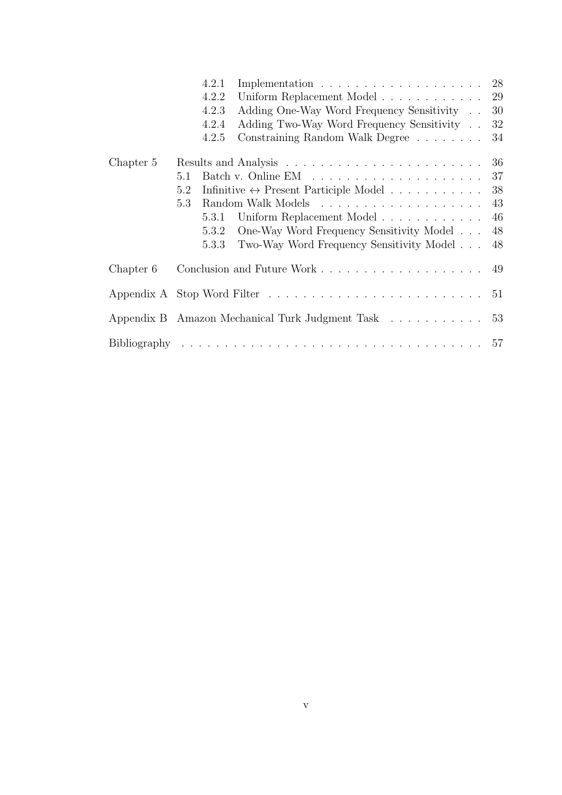|           | Implementation $\ldots \ldots \ldots \ldots \ldots \ldots \ldots 28$<br>4.2.1 |    |
|-----------|-------------------------------------------------------------------------------|----|
|           | Uniform Replacement Model 29<br>4.2.2                                         |    |
|           | Adding One-Way Word Frequency Sensitivity<br>4.2.3                            | 30 |
|           | Adding Two-Way Word Frequency Sensitivity<br>4.2.4                            | 32 |
|           | Constraining Random Walk Degree<br>4.2.5                                      | 34 |
| Chapter 5 |                                                                               | 36 |
|           | 5.1                                                                           | 37 |
|           | Infinitive $\leftrightarrow$ Present Participle Model<br>5.2                  | 38 |
|           | 5.3                                                                           | 43 |
|           | Uniform Replacement Model<br>5.3.1                                            | 46 |
|           | One-Way Word Frequency Sensitivity Model<br>5.3.2                             | 48 |
|           | Two-Way Word Frequency Sensitivity Model<br>5.3.3                             | 48 |
| Chapter 6 |                                                                               |    |
|           |                                                                               | 51 |
|           | Appendix B Amazon Mechanical Turk Judgment Task 53                            |    |
|           |                                                                               |    |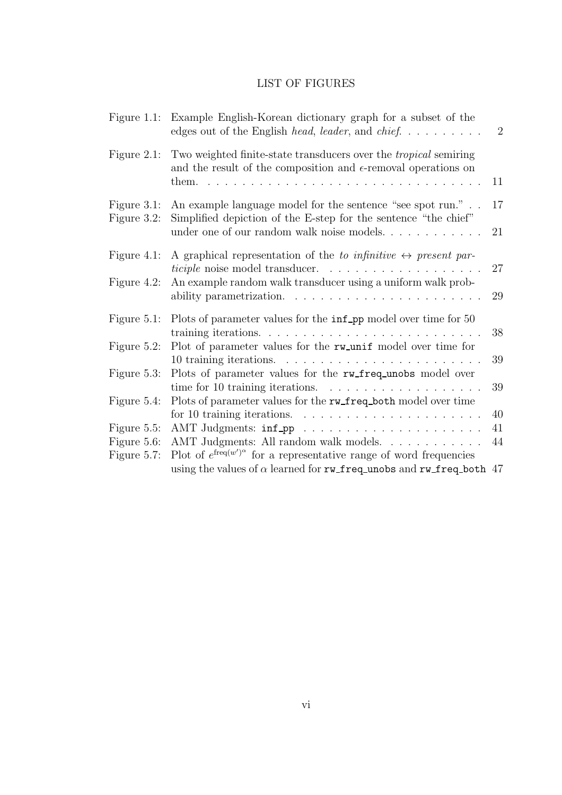## LIST OF FIGURES

|                                           | Figure 1.1: Example English-Korean dictionary graph for a subset of the<br>edges out of the English head, leader, and chief                                                 | $\overline{2}$ |
|-------------------------------------------|-----------------------------------------------------------------------------------------------------------------------------------------------------------------------------|----------------|
| Figure $2.1$ :                            | Two weighted finite-state transducers over the <i>tropical</i> semiring<br>and the result of the composition and $\epsilon$ -removal operations on                          | 11             |
| Figure 3.1:<br>Figure 3.2:                | An example language model for the sentence "see spot run."<br>Simplified depiction of the E-step for the sentence "the chief"<br>under one of our random walk noise models. | 17<br>21       |
| Figure $4.1$ :                            | A graphical representation of the to infinitive $\leftrightarrow$ present par-                                                                                              | 27             |
| Figure $4.2$ :                            | An example random walk transducer using a uniform walk prob-                                                                                                                | 29             |
| Figure $5.1$ :                            | Plots of parameter values for the inf_pp model over time for 50                                                                                                             | 38             |
| Figure $5.2$ :                            | Plot of parameter values for the rw_unif model over time for                                                                                                                | 39             |
| Figure 5.3:                               | Plots of parameter values for the rw_freq_unobs model over<br>time for 10 training iterations. $\ldots \ldots \ldots \ldots \ldots \ldots$                                  | 39             |
| Figure 5.4:                               | Plots of parameter values for the rw_freq_both model over time<br>for 10 training iterations. $\ldots \ldots \ldots \ldots \ldots \ldots \ldots$                            | 40             |
| Figure 5.5:<br>Figure 5.6:<br>Figure 5.7: | AMT Judgments: All random walk models.<br>Plot of $e^{\text{freq}(w')^{\alpha}}$ for a representative range of word frequencies                                             | 41<br>44       |
|                                           | using the values of $\alpha$ learned for rw_freq_unobs and rw_freq_both 47                                                                                                  |                |
|                                           |                                                                                                                                                                             |                |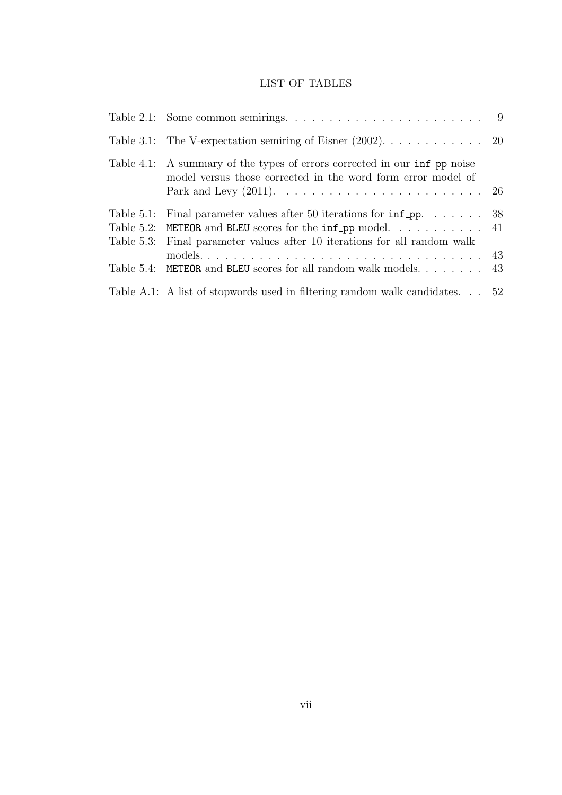## LIST OF TABLES

| Table 4.1: A summary of the types of errors corrected in our inf pp noise<br>model versus those corrected in the word form error model of                                                                              |  |
|------------------------------------------------------------------------------------------------------------------------------------------------------------------------------------------------------------------------|--|
| Table 5.1: Final parameter values after 50 iterations for $\inf_{P} p$ 38<br>Table 5.2: METEOR and BLEU scores for the $inf$ -pp model 41<br>Table 5.3: Final parameter values after 10 iterations for all random walk |  |
| Table 5.4: METEOR and BLEU scores for all random walk models 43                                                                                                                                                        |  |
| Table A.1: A list of stopwords used in filtering random walk candidates 52                                                                                                                                             |  |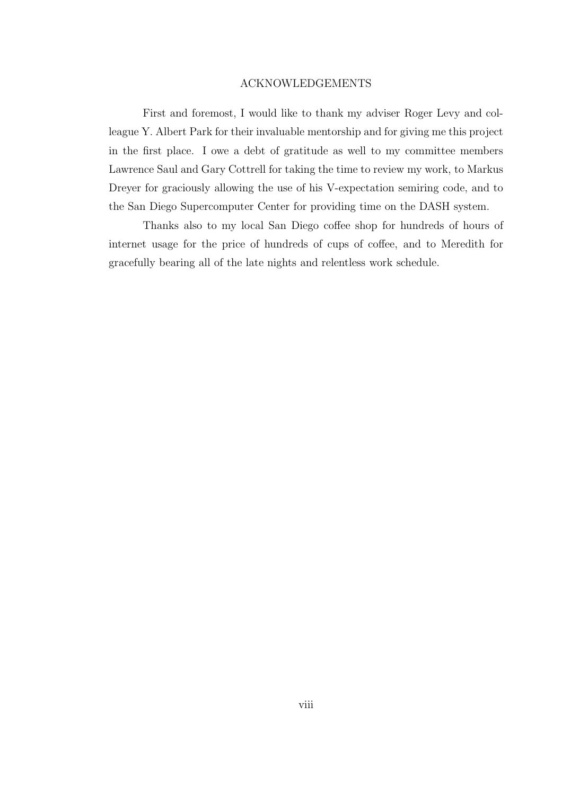#### ACKNOWLEDGEMENTS

First and foremost, I would like to thank my adviser Roger Levy and colleague Y. Albert Park for their invaluable mentorship and for giving me this project in the first place. I owe a debt of gratitude as well to my committee members Lawrence Saul and Gary Cottrell for taking the time to review my work, to Markus Dreyer for graciously allowing the use of his V-expectation semiring code, and to the San Diego Supercomputer Center for providing time on the DASH system.

Thanks also to my local San Diego coffee shop for hundreds of hours of internet usage for the price of hundreds of cups of coffee, and to Meredith for gracefully bearing all of the late nights and relentless work schedule.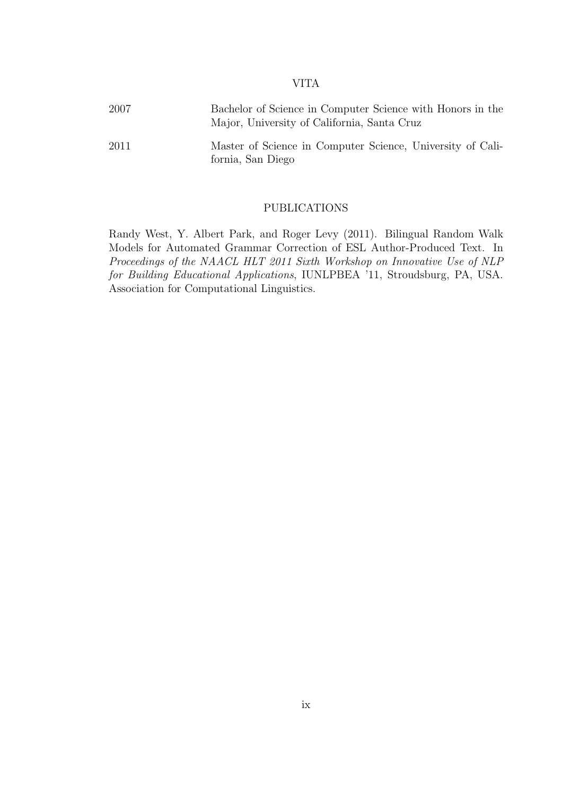#### VITA

| 2007 | Bachelor of Science in Computer Science with Honors in the<br>Major, University of California, Santa Cruz |  |  |  |  |
|------|-----------------------------------------------------------------------------------------------------------|--|--|--|--|
| 2011 | Master of Science in Computer Science, University of Cali-<br>fornia, San Diego                           |  |  |  |  |

#### PUBLICATIONS

Randy West, Y. Albert Park, and Roger Levy (2011). Bilingual Random Walk Models for Automated Grammar Correction of ESL Author-Produced Text. In Proceedings of the NAACL HLT 2011 Sixth Workshop on Innovative Use of NLP for Building Educational Applications, IUNLPBEA '11, Stroudsburg, PA, USA. Association for Computational Linguistics.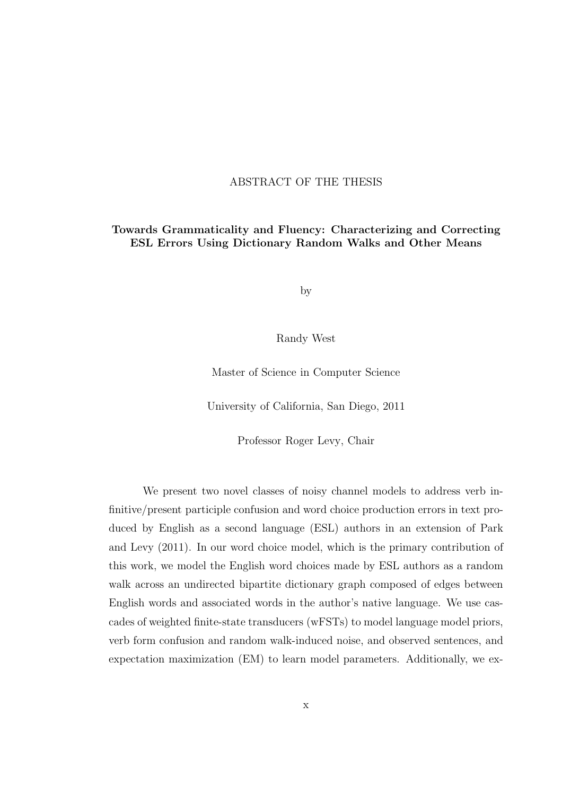#### ABSTRACT OF THE THESIS

#### Towards Grammaticality and Fluency: Characterizing and Correcting ESL Errors Using Dictionary Random Walks and Other Means

by

Randy West

Master of Science in Computer Science

University of California, San Diego, 2011

Professor Roger Levy, Chair

We present two novel classes of noisy channel models to address verb infinitive/present participle confusion and word choice production errors in text produced by English as a second language (ESL) authors in an extension of Park and Levy (2011). In our word choice model, which is the primary contribution of this work, we model the English word choices made by ESL authors as a random walk across an undirected bipartite dictionary graph composed of edges between English words and associated words in the author's native language. We use cascades of weighted finite-state transducers (wFSTs) to model language model priors, verb form confusion and random walk-induced noise, and observed sentences, and expectation maximization (EM) to learn model parameters. Additionally, we ex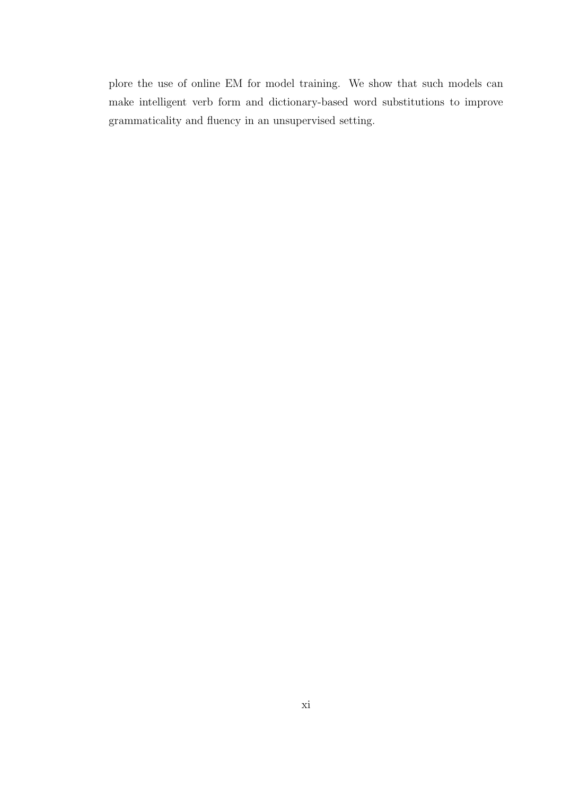plore the use of online EM for model training. We show that such models can make intelligent verb form and dictionary-based word substitutions to improve grammaticality and fluency in an unsupervised setting.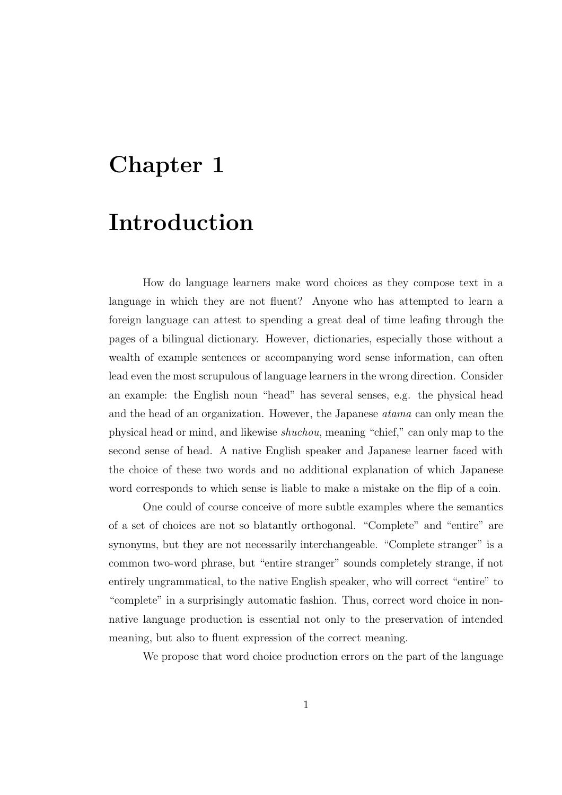# Chapter 1

## Introduction

How do language learners make word choices as they compose text in a language in which they are not fluent? Anyone who has attempted to learn a foreign language can attest to spending a great deal of time leafing through the pages of a bilingual dictionary. However, dictionaries, especially those without a wealth of example sentences or accompanying word sense information, can often lead even the most scrupulous of language learners in the wrong direction. Consider an example: the English noun "head" has several senses, e.g. the physical head and the head of an organization. However, the Japanese atama can only mean the physical head or mind, and likewise shuchou, meaning "chief," can only map to the second sense of head. A native English speaker and Japanese learner faced with the choice of these two words and no additional explanation of which Japanese word corresponds to which sense is liable to make a mistake on the flip of a coin.

One could of course conceive of more subtle examples where the semantics of a set of choices are not so blatantly orthogonal. "Complete" and "entire" are synonyms, but they are not necessarily interchangeable. "Complete stranger" is a common two-word phrase, but "entire stranger" sounds completely strange, if not entirely ungrammatical, to the native English speaker, who will correct "entire" to "complete" in a surprisingly automatic fashion. Thus, correct word choice in nonnative language production is essential not only to the preservation of intended meaning, but also to fluent expression of the correct meaning.

We propose that word choice production errors on the part of the language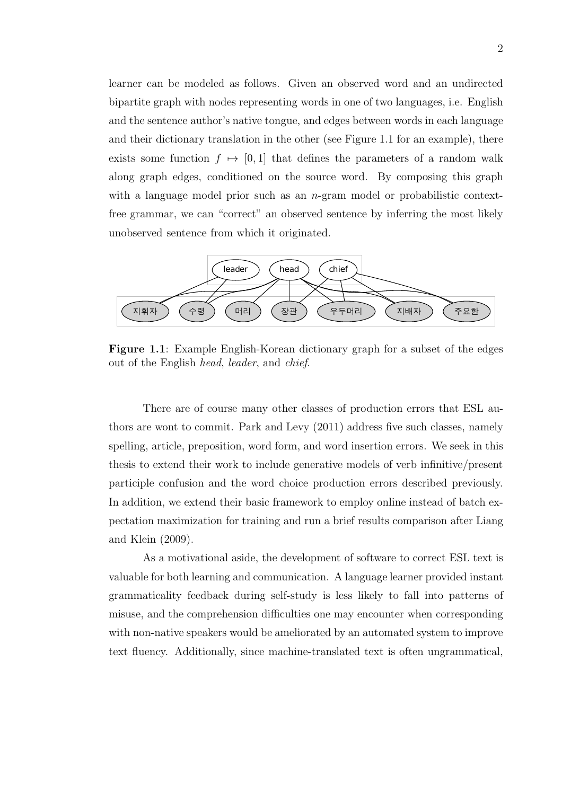learner can be modeled as follows. Given an observed word and an undirected bipartite graph with nodes representing words in one of two languages, i.e. English and the sentence author's native tongue, and edges between words in each language and their dictionary translation in the other (see Figure 1.1 for an example), there exists some function  $f \mapsto [0, 1]$  that defines the parameters of a random walk along graph edges, conditioned on the source word. By composing this graph with a language model prior such as an *n*-gram model or probabilistic contextfree grammar, we can "correct" an observed sentence by inferring the most likely unobserved sentence from which it originated.



Figure 1.1: Example English-Korean dictionary graph for a subset of the edges out of the English head, leader, and chief.

There are of course many other classes of production errors that ESL authors are wont to commit. Park and Levy (2011) address five such classes, namely spelling, article, preposition, word form, and word insertion errors. We seek in this thesis to extend their work to include generative models of verb infinitive/present participle confusion and the word choice production errors described previously. In addition, we extend their basic framework to employ online instead of batch expectation maximization for training and run a brief results comparison after Liang and Klein (2009).

As a motivational aside, the development of software to correct ESL text is valuable for both learning and communication. A language learner provided instant grammaticality feedback during self-study is less likely to fall into patterns of misuse, and the comprehension difficulties one may encounter when corresponding with non-native speakers would be ameliorated by an automated system to improve text fluency. Additionally, since machine-translated text is often ungrammatical,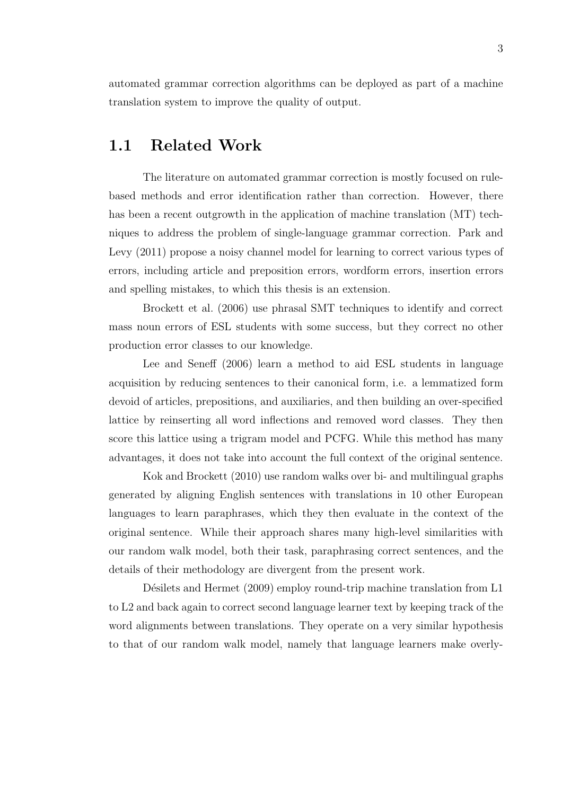automated grammar correction algorithms can be deployed as part of a machine translation system to improve the quality of output.

## 1.1 Related Work

The literature on automated grammar correction is mostly focused on rulebased methods and error identification rather than correction. However, there has been a recent outgrowth in the application of machine translation  $(MT)$  techniques to address the problem of single-language grammar correction. Park and Levy (2011) propose a noisy channel model for learning to correct various types of errors, including article and preposition errors, wordform errors, insertion errors and spelling mistakes, to which this thesis is an extension.

Brockett et al. (2006) use phrasal SMT techniques to identify and correct mass noun errors of ESL students with some success, but they correct no other production error classes to our knowledge.

Lee and Seneff (2006) learn a method to aid ESL students in language acquisition by reducing sentences to their canonical form, i.e. a lemmatized form devoid of articles, prepositions, and auxiliaries, and then building an over-specified lattice by reinserting all word inflections and removed word classes. They then score this lattice using a trigram model and PCFG. While this method has many advantages, it does not take into account the full context of the original sentence.

Kok and Brockett (2010) use random walks over bi- and multilingual graphs generated by aligning English sentences with translations in 10 other European languages to learn paraphrases, which they then evaluate in the context of the original sentence. While their approach shares many high-level similarities with our random walk model, both their task, paraphrasing correct sentences, and the details of their methodology are divergent from the present work.

Désilets and Hermet (2009) employ round-trip machine translation from L1 to L2 and back again to correct second language learner text by keeping track of the word alignments between translations. They operate on a very similar hypothesis to that of our random walk model, namely that language learners make overly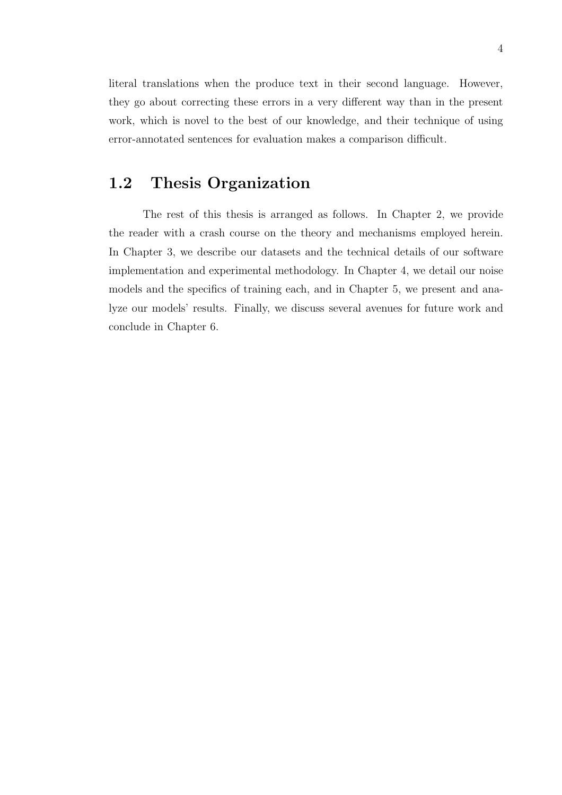literal translations when the produce text in their second language. However, they go about correcting these errors in a very different way than in the present work, which is novel to the best of our knowledge, and their technique of using error-annotated sentences for evaluation makes a comparison difficult.

## 1.2 Thesis Organization

The rest of this thesis is arranged as follows. In Chapter 2, we provide the reader with a crash course on the theory and mechanisms employed herein. In Chapter 3, we describe our datasets and the technical details of our software implementation and experimental methodology. In Chapter 4, we detail our noise models and the specifics of training each, and in Chapter 5, we present and analyze our models' results. Finally, we discuss several avenues for future work and conclude in Chapter 6.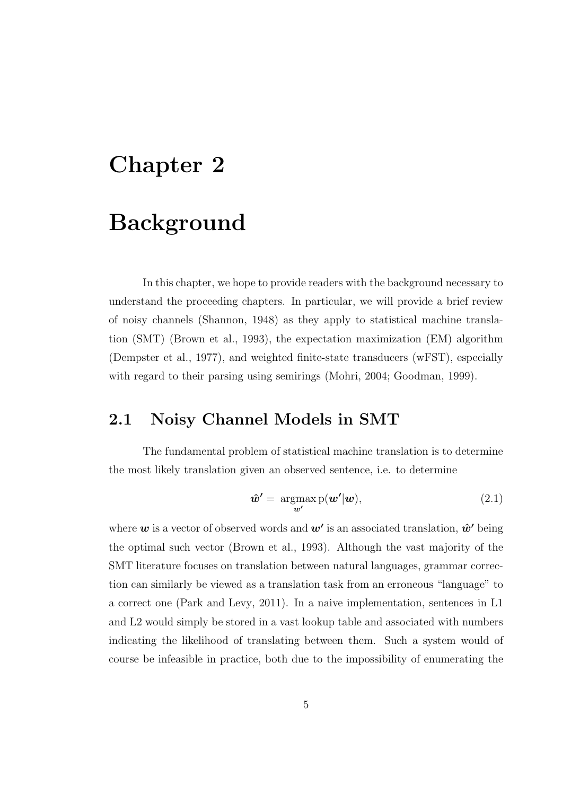# Chapter 2

# Background

In this chapter, we hope to provide readers with the background necessary to understand the proceeding chapters. In particular, we will provide a brief review of noisy channels (Shannon, 1948) as they apply to statistical machine translation (SMT) (Brown et al., 1993), the expectation maximization (EM) algorithm (Dempster et al., 1977), and weighted finite-state transducers (wFST), especially with regard to their parsing using semirings (Mohri, 2004; Goodman, 1999).

## 2.1 Noisy Channel Models in SMT

The fundamental problem of statistical machine translation is to determine the most likely translation given an observed sentence, i.e. to determine

$$
\hat{\boldsymbol{w}}' = \underset{\boldsymbol{w}'}{\operatorname{argmax}} \, \mathrm{p}(\boldsymbol{w}'|\boldsymbol{w}), \tag{2.1}
$$

where  $w$  is a vector of observed words and  $w'$  is an associated translation,  $\hat{w}'$  being the optimal such vector (Brown et al., 1993). Although the vast majority of the SMT literature focuses on translation between natural languages, grammar correction can similarly be viewed as a translation task from an erroneous "language" to a correct one (Park and Levy, 2011). In a naive implementation, sentences in L1 and L2 would simply be stored in a vast lookup table and associated with numbers indicating the likelihood of translating between them. Such a system would of course be infeasible in practice, both due to the impossibility of enumerating the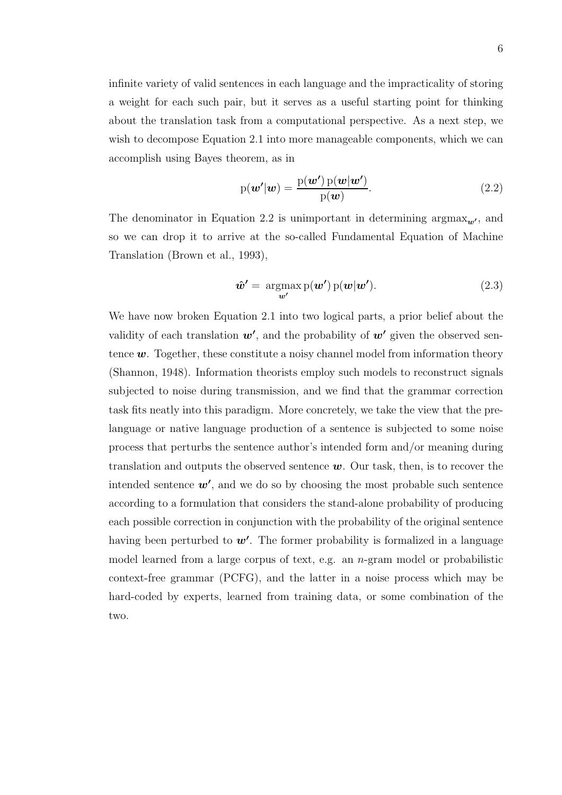infinite variety of valid sentences in each language and the impracticality of storing a weight for each such pair, but it serves as a useful starting point for thinking about the translation task from a computational perspective. As a next step, we wish to decompose Equation 2.1 into more manageable components, which we can accomplish using Bayes theorem, as in

$$
p(\boldsymbol{w}'|\boldsymbol{w}) = \frac{p(\boldsymbol{w}')p(\boldsymbol{w}|\boldsymbol{w}')}{p(\boldsymbol{w})}.
$$
\n(2.2)

The denominator in Equation 2.2 is unimportant in determining  $\arg\max_{w'}$ , and so we can drop it to arrive at the so-called Fundamental Equation of Machine Translation (Brown et al., 1993),

$$
\hat{\boldsymbol{w}}' = \underset{\boldsymbol{w}'}{\operatorname{argmax}} \, \mathrm{p}(\boldsymbol{w}') \, \mathrm{p}(\boldsymbol{w}|\boldsymbol{w}'). \tag{2.3}
$$

We have now broken Equation 2.1 into two logical parts, a prior belief about the validity of each translation  $w'$ , and the probability of  $w'$  given the observed sentence  $w$ . Together, these constitute a noisy channel model from information theory (Shannon, 1948). Information theorists employ such models to reconstruct signals subjected to noise during transmission, and we find that the grammar correction task fits neatly into this paradigm. More concretely, we take the view that the prelanguage or native language production of a sentence is subjected to some noise process that perturbs the sentence author's intended form and/or meaning during translation and outputs the observed sentence  $w$ . Our task, then, is to recover the intended sentence  $w'$ , and we do so by choosing the most probable such sentence according to a formulation that considers the stand-alone probability of producing each possible correction in conjunction with the probability of the original sentence having been perturbed to  $w'$ . The former probability is formalized in a language model learned from a large corpus of text, e.g. an n-gram model or probabilistic context-free grammar (PCFG), and the latter in a noise process which may be hard-coded by experts, learned from training data, or some combination of the two.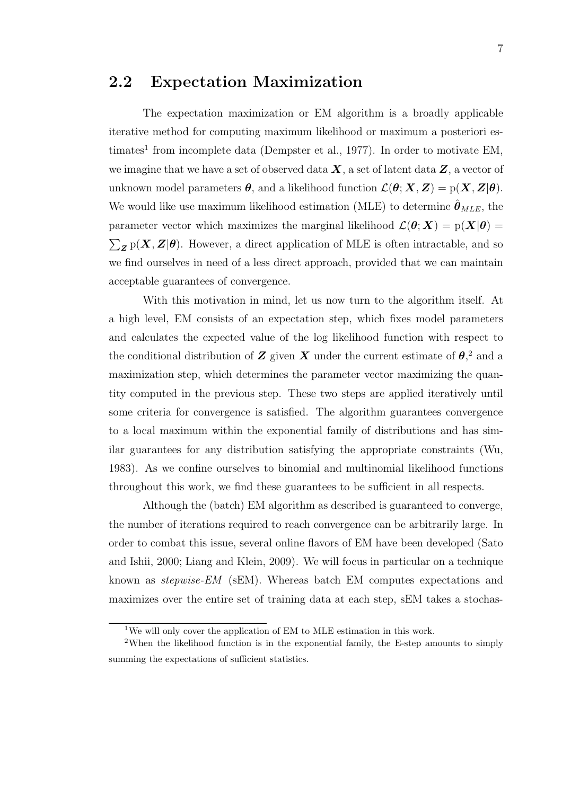## 2.2 Expectation Maximization

The expectation maximization or EM algorithm is a broadly applicable iterative method for computing maximum likelihood or maximum a posteriori estimates<sup>1</sup> from incomplete data (Dempster et al., 1977). In order to motivate EM, we imagine that we have a set of observed data  $X$ , a set of latent data  $Z$ , a vector of unknown model parameters  $\theta$ , and a likelihood function  $\mathcal{L}(\theta; X, Z) = p(X, Z | \theta)$ . We would like use maximum likelihood estimation (MLE) to determine  $\theta_{MLE}$ , the parameter vector which maximizes the marginal likelihood  $\mathcal{L}(\theta; X) = p(X|\theta)$  $\sum_{\mathbf{Z}} p(\mathbf{X}, \mathbf{Z} | \boldsymbol{\theta})$ . However, a direct application of MLE is often intractable, and so we find ourselves in need of a less direct approach, provided that we can maintain acceptable guarantees of convergence.

With this motivation in mind, let us now turn to the algorithm itself. At a high level, EM consists of an expectation step, which fixes model parameters and calculates the expected value of the log likelihood function with respect to the conditional distribution of  $Z$  given  $X$  under the current estimate of  $\theta$ <sup>2</sup>, and a maximization step, which determines the parameter vector maximizing the quantity computed in the previous step. These two steps are applied iteratively until some criteria for convergence is satisfied. The algorithm guarantees convergence to a local maximum within the exponential family of distributions and has similar guarantees for any distribution satisfying the appropriate constraints (Wu, 1983). As we confine ourselves to binomial and multinomial likelihood functions throughout this work, we find these guarantees to be sufficient in all respects.

Although the (batch) EM algorithm as described is guaranteed to converge, the number of iterations required to reach convergence can be arbitrarily large. In order to combat this issue, several online flavors of EM have been developed (Sato and Ishii, 2000; Liang and Klein, 2009). We will focus in particular on a technique known as stepwise-EM (sEM). Whereas batch EM computes expectations and maximizes over the entire set of training data at each step, sEM takes a stochas-

<sup>&</sup>lt;sup>1</sup>We will only cover the application of EM to MLE estimation in this work.

<sup>2</sup>When the likelihood function is in the exponential family, the E-step amounts to simply summing the expectations of sufficient statistics.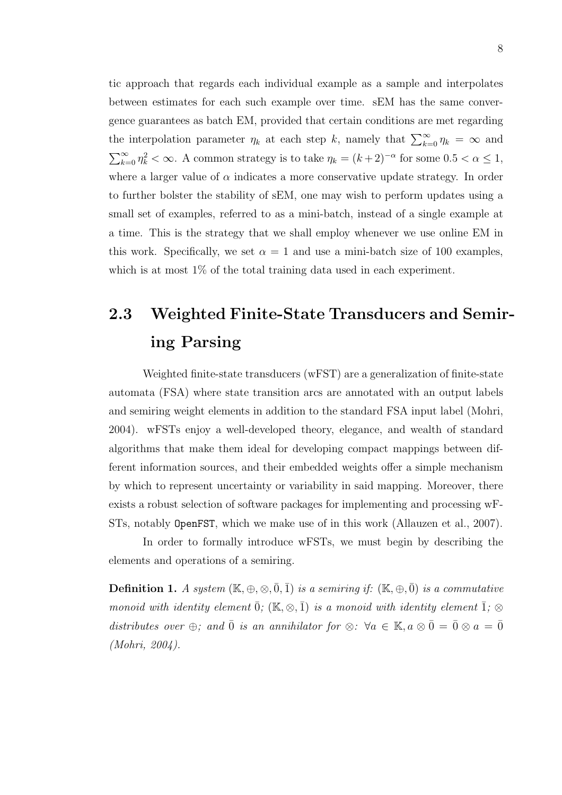tic approach that regards each individual example as a sample and interpolates between estimates for each such example over time. sEM has the same convergence guarantees as batch EM, provided that certain conditions are met regarding the interpolation parameter  $\eta_k$  at each step k, namely that  $\sum_{k=0}^{\infty} \eta_k = \infty$  and  $\sum_{k=0}^{\infty} \eta_k^2 < \infty$ . A common strategy is to take  $\eta_k = (k+2)^{-\alpha}$  for some  $0.5 < \alpha \leq 1$ , where a larger value of  $\alpha$  indicates a more conservative update strategy. In order to further bolster the stability of sEM, one may wish to perform updates using a small set of examples, referred to as a mini-batch, instead of a single example at a time. This is the strategy that we shall employ whenever we use online EM in this work. Specifically, we set  $\alpha = 1$  and use a mini-batch size of 100 examples, which is at most  $1\%$  of the total training data used in each experiment.

# 2.3 Weighted Finite-State Transducers and Semiring Parsing

Weighted finite-state transducers (wFST) are a generalization of finite-state automata (FSA) where state transition arcs are annotated with an output labels and semiring weight elements in addition to the standard FSA input label (Mohri, 2004). wFSTs enjoy a well-developed theory, elegance, and wealth of standard algorithms that make them ideal for developing compact mappings between different information sources, and their embedded weights offer a simple mechanism by which to represent uncertainty or variability in said mapping. Moreover, there exists a robust selection of software packages for implementing and processing wF-STs, notably OpenFST, which we make use of in this work (Allauzen et al., 2007).

In order to formally introduce wFSTs, we must begin by describing the elements and operations of a semiring.

**Definition 1.** A system  $(\mathbb{K}, \oplus, \otimes, \overline{0}, \overline{1})$  is a semiring if:  $(\mathbb{K}, \oplus, \overline{0})$  is a commutative monoid with identity element  $\bar{0}$ ; (K, ⊗,  $\bar{1}$ ) is a monoid with identity element  $\bar{1}$ ; ⊗ distributes over ⊕; and  $\bar{0}$  is an annihilator for  $\otimes$ :  $\forall a \in \mathbb{K}$ ,  $a \otimes \bar{0} = \bar{0} \otimes a = \bar{0}$ (Mohri, 2004).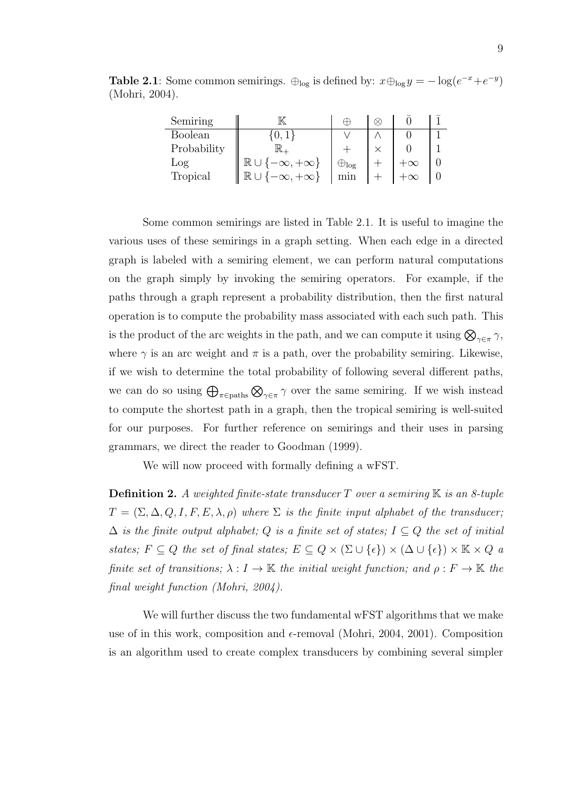Table 2.1: Some common semirings.  $\bigoplus_{\text{log}}$  is defined by:  $x \bigoplus_{\text{log}} y = -\log(e^{-x} + e^{-y})$ (Mohri, 2004).

| Semiring       |                                        | Œ               |  |  |
|----------------|----------------------------------------|-----------------|--|--|
| <b>Boolean</b> | $0.1^{\circ}$                          |                 |  |  |
| Probability    |                                        |                 |  |  |
| Log            | $\mathbb{R} \cup \{-\infty, +\infty\}$ | $\oplus_{\log}$ |  |  |
| Tropical       | $[-\infty, +\infty]$<br>$\mathbb R$    |                 |  |  |

Some common semirings are listed in Table 2.1. It is useful to imagine the various uses of these semirings in a graph setting. When each edge in a directed graph is labeled with a semiring element, we can perform natural computations on the graph simply by invoking the semiring operators. For example, if the paths through a graph represent a probability distribution, then the first natural operation is to compute the probability mass associated with each such path. This is the product of the arc weights in the path, and we can compute it using  $\bigotimes_{\gamma \in \pi} \gamma$ , where  $\gamma$  is an arc weight and  $\pi$  is a path, over the probability semiring. Likewise, if we wish to determine the total probability of following several different paths, we can do so using  $\bigoplus_{\pi \in \text{paths}} \bigotimes_{\gamma \in \pi} \gamma$  over the same semiring. If we wish instead to compute the shortest path in a graph, then the tropical semiring is well-suited for our purposes. For further reference on semirings and their uses in parsing grammars, we direct the reader to Goodman (1999).

We will now proceed with formally defining a wFST.

**Definition 2.** A weighted finite-state transducer T over a semiring  $\mathbb{K}$  is an 8-tuple  $T = (\Sigma, \Delta, Q, I, F, E, \lambda, \rho)$  where  $\Sigma$  is the finite input alphabet of the transducer;  $\Delta$  is the finite output alphabet; Q is a finite set of states;  $I \subseteq Q$  the set of initial states;  $F \subseteq Q$  the set of final states;  $E \subseteq Q \times (\Sigma \cup \{\epsilon\}) \times (\Delta \cup \{\epsilon\}) \times \mathbb{K} \times Q$  a finite set of transitions;  $\lambda : I \to \mathbb{K}$  the initial weight function; and  $\rho : F \to \mathbb{K}$  the final weight function (Mohri, 2004).

We will further discuss the two fundamental wFST algorithms that we make use of in this work, composition and  $\epsilon$ -removal (Mohri, 2004, 2001). Composition is an algorithm used to create complex transducers by combining several simpler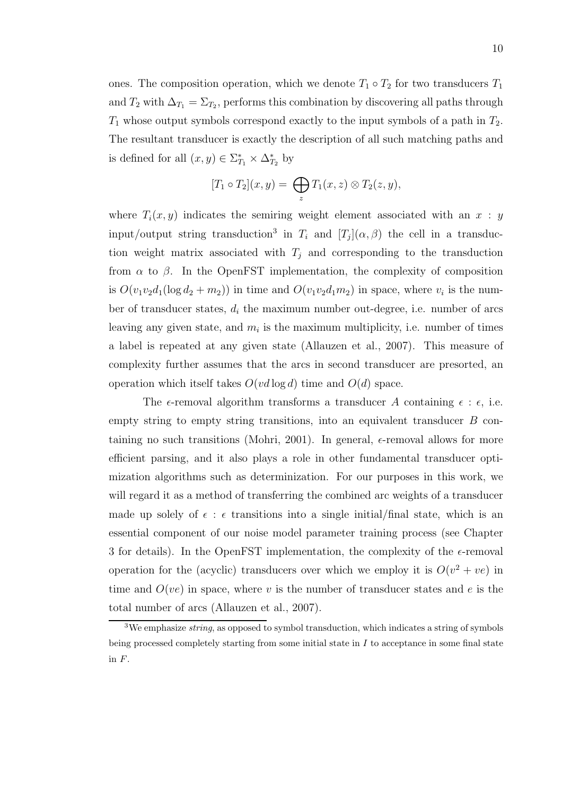ones. The composition operation, which we denote  $T_1 \circ T_2$  for two transducers  $T_1$ and  $T_2$  with  $\Delta_{T_1} = \Sigma_{T_2}$ , performs this combination by discovering all paths through  $T_1$  whose output symbols correspond exactly to the input symbols of a path in  $T_2$ . The resultant transducer is exactly the description of all such matching paths and is defined for all  $(x, y) \in \Sigma_{T_1}^* \times \Delta_{T_2}^*$  by

$$
[T_1 \circ T_2](x,y) = \bigoplus_z T_1(x,z) \otimes T_2(z,y),
$$

where  $T_i(x, y)$  indicates the semiring weight element associated with an  $x : y$ input/output string transduction<sup>3</sup> in  $T_i$  and  $[T_j](\alpha, \beta)$  the cell in a transduction weight matrix associated with  $T_j$  and corresponding to the transduction from  $\alpha$  to  $\beta$ . In the OpenFST implementation, the complexity of composition is  $O(v_1v_2d_1(\log d_2 + m_2))$  in time and  $O(v_1v_2d_1m_2)$  in space, where  $v_i$  is the number of transducer states,  $d_i$  the maximum number out-degree, i.e. number of arcs leaving any given state, and  $m_i$  is the maximum multiplicity, i.e. number of times a label is repeated at any given state (Allauzen et al., 2007). This measure of complexity further assumes that the arcs in second transducer are presorted, an operation which itself takes  $O(vd \log d)$  time and  $O(d)$  space.

The  $\epsilon$ -removal algorithm transforms a transducer A containing  $\epsilon : \epsilon$ , i.e. empty string to empty string transitions, into an equivalent transducer  $B$  containing no such transitions (Mohri, 2001). In general,  $\epsilon$ -removal allows for more efficient parsing, and it also plays a role in other fundamental transducer optimization algorithms such as determinization. For our purposes in this work, we will regard it as a method of transferring the combined arc weights of a transducer made up solely of  $\epsilon$ :  $\epsilon$  transitions into a single initial/final state, which is an essential component of our noise model parameter training process (see Chapter 3 for details). In the OpenFST implementation, the complexity of the  $\epsilon$ -removal operation for the (acyclic) transducers over which we employ it is  $O(v^2 + ve)$  in time and  $O(ve)$  in space, where v is the number of transducer states and e is the total number of arcs (Allauzen et al., 2007).

<sup>&</sup>lt;sup>3</sup>We emphasize *string*, as opposed to symbol transduction, which indicates a string of symbols being processed completely starting from some initial state in  $I$  to acceptance in some final state in F.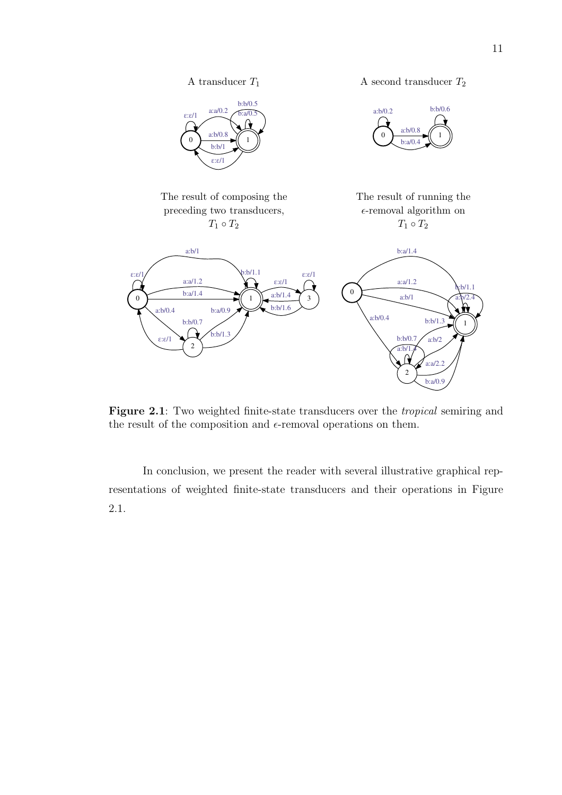

Figure 2.1: Two weighted finite-state transducers over the *tropical* semiring and the result of the composition and  $\epsilon$ -removal operations on them.

In conclusion, we present the reader with several illustrative graphical representations of weighted finite-state transducers and their operations in Figure 2.1.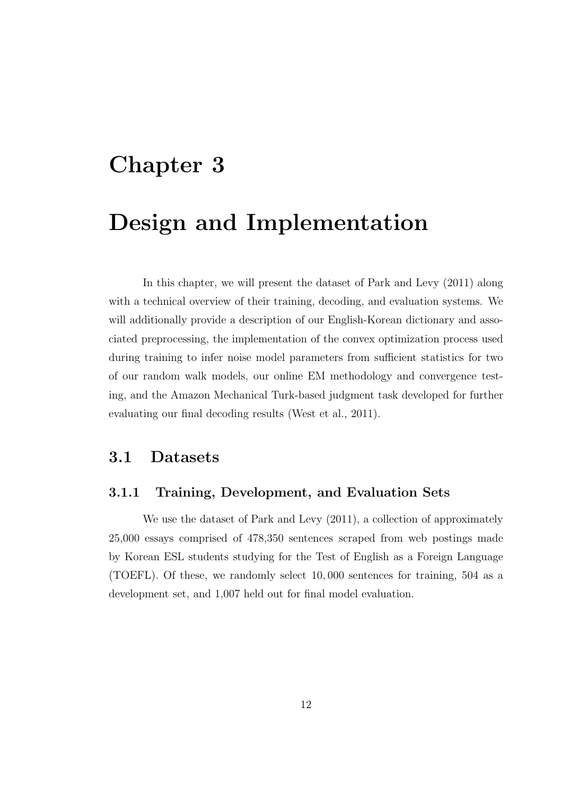# Chapter 3

# Design and Implementation

In this chapter, we will present the dataset of Park and Levy (2011) along with a technical overview of their training, decoding, and evaluation systems. We will additionally provide a description of our English-Korean dictionary and associated preprocessing, the implementation of the convex optimization process used during training to infer noise model parameters from sufficient statistics for two of our random walk models, our online EM methodology and convergence testing, and the Amazon Mechanical Turk-based judgment task developed for further evaluating our final decoding results (West et al., 2011).

## 3.1 Datasets

### 3.1.1 Training, Development, and Evaluation Sets

We use the dataset of Park and Levy (2011), a collection of approximately 25,000 essays comprised of 478,350 sentences scraped from web postings made by Korean ESL students studying for the Test of English as a Foreign Language (TOEFL). Of these, we randomly select 10, 000 sentences for training, 504 as a development set, and 1,007 held out for final model evaluation.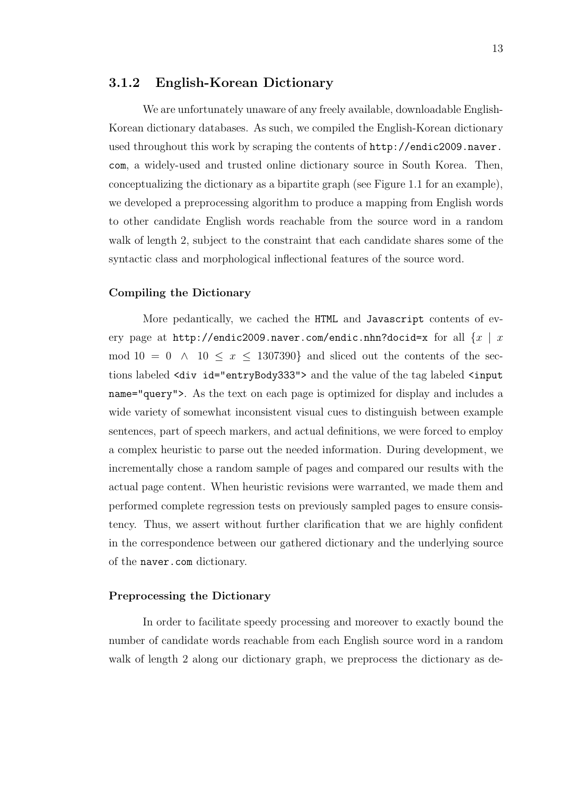#### 3.1.2 English-Korean Dictionary

We are unfortunately unaware of any freely available, downloadable English-Korean dictionary databases. As such, we compiled the English-Korean dictionary used throughout this work by scraping the contents of http://endic2009.naver. com, a widely-used and trusted online dictionary source in South Korea. Then, conceptualizing the dictionary as a bipartite graph (see Figure 1.1 for an example), we developed a preprocessing algorithm to produce a mapping from English words to other candidate English words reachable from the source word in a random walk of length 2, subject to the constraint that each candidate shares some of the syntactic class and morphological inflectional features of the source word.

#### Compiling the Dictionary

More pedantically, we cached the HTML and Javascript contents of every page at http://endic2009.naver.com/endic.nhn?docid=x for all  $\{x \mid x\}$ mod  $10 = 0 \land 10 \leq x \leq 1307390$  and sliced out the contents of the sections labeled <div id="entryBody333"> and the value of the tag labeled <input name="query">. As the text on each page is optimized for display and includes a wide variety of somewhat inconsistent visual cues to distinguish between example sentences, part of speech markers, and actual definitions, we were forced to employ a complex heuristic to parse out the needed information. During development, we incrementally chose a random sample of pages and compared our results with the actual page content. When heuristic revisions were warranted, we made them and performed complete regression tests on previously sampled pages to ensure consistency. Thus, we assert without further clarification that we are highly confident in the correspondence between our gathered dictionary and the underlying source of the naver.com dictionary.

#### Preprocessing the Dictionary

In order to facilitate speedy processing and moreover to exactly bound the number of candidate words reachable from each English source word in a random walk of length 2 along our dictionary graph, we preprocess the dictionary as de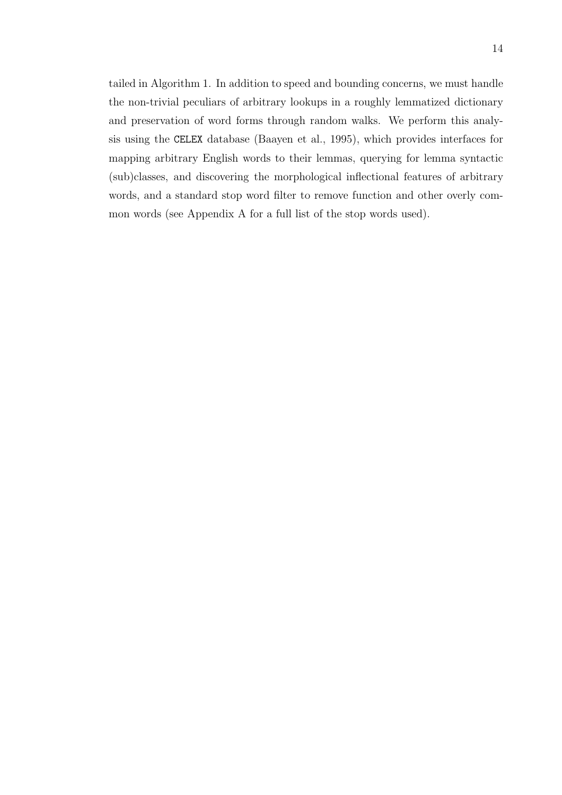tailed in Algorithm 1. In addition to speed and bounding concerns, we must handle the non-trivial peculiars of arbitrary lookups in a roughly lemmatized dictionary and preservation of word forms through random walks. We perform this analysis using the CELEX database (Baayen et al., 1995), which provides interfaces for mapping arbitrary English words to their lemmas, querying for lemma syntactic (sub)classes, and discovering the morphological inflectional features of arbitrary words, and a standard stop word filter to remove function and other overly common words (see Appendix A for a full list of the stop words used).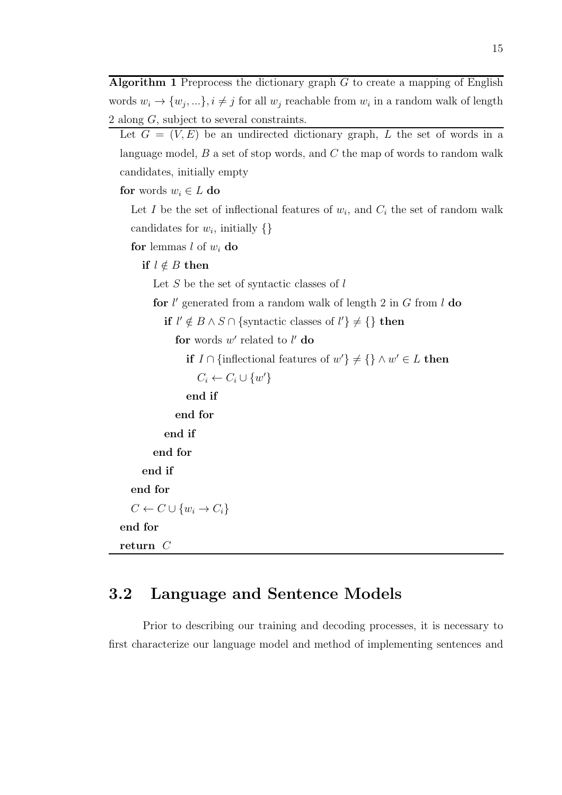Algorithm 1 Preprocess the dictionary graph  $G$  to create a mapping of English words  $w_i \rightarrow \{w_j, ...\}$ ,  $i \neq j$  for all  $w_j$  reachable from  $w_i$  in a random walk of length  $\frac{2 \text{ along } G$ , subject to several constraints.

```
Let G = (V, E) be an undirected dictionary graph, L the set of words in a
language model, B a set of stop words, and C the map of words to random walk
candidates, initially empty
```
for words  $w_i \in L$  do

Let I be the set of inflectional features of  $w_i$ , and  $C_i$  the set of random walk candidates for  $w_i$ , initially  $\{\}$ 

for lemmas  $l$  of  $w_i$  do

if  $l \notin B$  then

Let  $S$  be the set of syntactic classes of  $l$ 

for  $l'$  generated from a random walk of length 2 in  $G$  from  $l$  do

```
if l' \notin B \land S \cap \{syntactic classes of l' \} \neq \{ \} then
```
for words  $w'$  related to  $l'$  do

**if**  $I \cap \{\text{inflectional features of } w'\}$  ≠ {} ∧ w' ∈ L then

```
C_i \leftarrow C_i \cup \{w'\}
```
end if

```
end for
end if
```
end for

end if

end for

 $C \leftarrow C \cup \{w_i \rightarrow C_i\}$ 

```
end for
```

```
return C
```
## 3.2 Language and Sentence Models

Prior to describing our training and decoding processes, it is necessary to first characterize our language model and method of implementing sentences and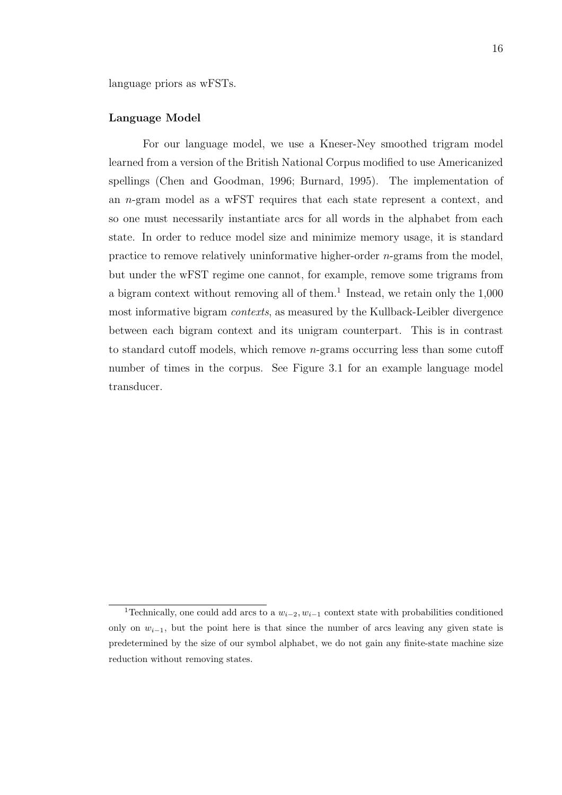language priors as wFSTs.

#### Language Model

For our language model, we use a Kneser-Ney smoothed trigram model learned from a version of the British National Corpus modified to use Americanized spellings (Chen and Goodman, 1996; Burnard, 1995). The implementation of an n-gram model as a wFST requires that each state represent a context, and so one must necessarily instantiate arcs for all words in the alphabet from each state. In order to reduce model size and minimize memory usage, it is standard practice to remove relatively uninformative higher-order  $n$ -grams from the model, but under the wFST regime one cannot, for example, remove some trigrams from a bigram context without removing all of them.<sup>1</sup> Instead, we retain only the  $1,000$ most informative bigram contexts, as measured by the Kullback-Leibler divergence between each bigram context and its unigram counterpart. This is in contrast to standard cutoff models, which remove n-grams occurring less than some cutoff number of times in the corpus. See Figure 3.1 for an example language model transducer.

<sup>&</sup>lt;sup>1</sup>Technically, one could add arcs to a  $w_{i-2}, w_{i-1}$  context state with probabilities conditioned only on  $w_{i-1}$ , but the point here is that since the number of arcs leaving any given state is predetermined by the size of our symbol alphabet, we do not gain any finite-state machine size reduction without removing states.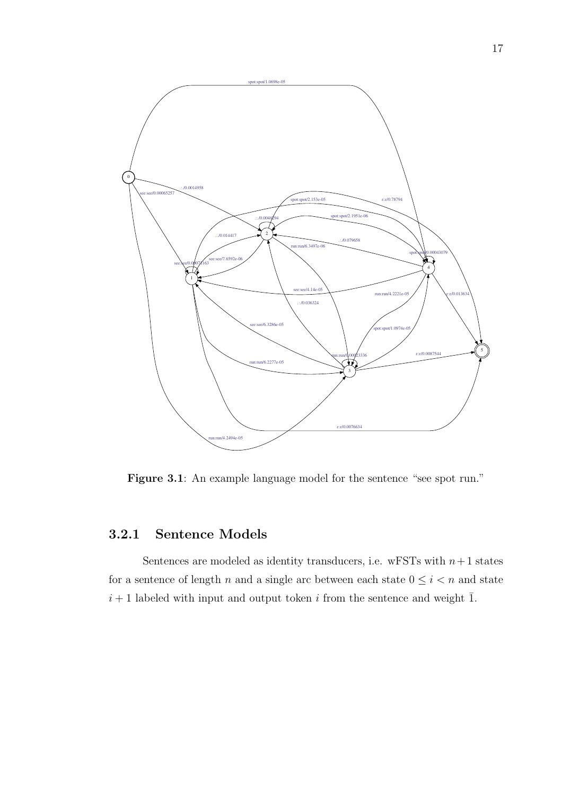

Figure 3.1: An example language model for the sentence "see spot run."

## 3.2.1 Sentence Models

Sentences are modeled as identity transducers, i.e. wFSTs with  $n+1$  states for a sentence of length  $n$  and a single arc between each state  $0 \leq i < n$  and state  $i + 1$  labeled with input and output token i from the sentence and weight  $\overline{1}$ .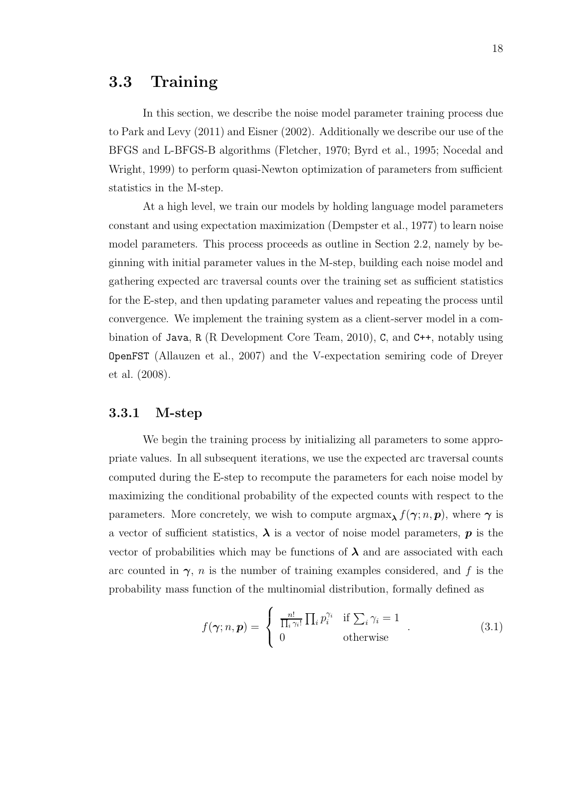## 3.3 Training

In this section, we describe the noise model parameter training process due to Park and Levy (2011) and Eisner (2002). Additionally we describe our use of the BFGS and L-BFGS-B algorithms (Fletcher, 1970; Byrd et al., 1995; Nocedal and Wright, 1999) to perform quasi-Newton optimization of parameters from sufficient statistics in the M-step.

At a high level, we train our models by holding language model parameters constant and using expectation maximization (Dempster et al., 1977) to learn noise model parameters. This process proceeds as outline in Section 2.2, namely by beginning with initial parameter values in the M-step, building each noise model and gathering expected arc traversal counts over the training set as sufficient statistics for the E-step, and then updating parameter values and repeating the process until convergence. We implement the training system as a client-server model in a combination of Java, R (R Development Core Team, 2010), C, and C++, notably using OpenFST (Allauzen et al., 2007) and the V-expectation semiring code of Dreyer et al. (2008).

#### 3.3.1 M-step

We begin the training process by initializing all parameters to some appropriate values. In all subsequent iterations, we use the expected arc traversal counts computed during the E-step to recompute the parameters for each noise model by maximizing the conditional probability of the expected counts with respect to the parameters. More concretely, we wish to compute  $\arg\max_{\lambda} f(\gamma; n, p)$ , where  $\gamma$  is a vector of sufficient statistics,  $\lambda$  is a vector of noise model parameters,  $p$  is the vector of probabilities which may be functions of  $\lambda$  and are associated with each arc counted in  $\gamma$ , *n* is the number of training examples considered, and f is the probability mass function of the multinomial distribution, formally defined as

$$
f(\boldsymbol{\gamma}; n, \boldsymbol{p}) = \begin{cases} \frac{n!}{\prod_i \gamma_i!} \prod_i p_i^{\gamma_i} & \text{if } \sum_i \gamma_i = 1 \\ 0 & \text{otherwise} \end{cases} . \tag{3.1}
$$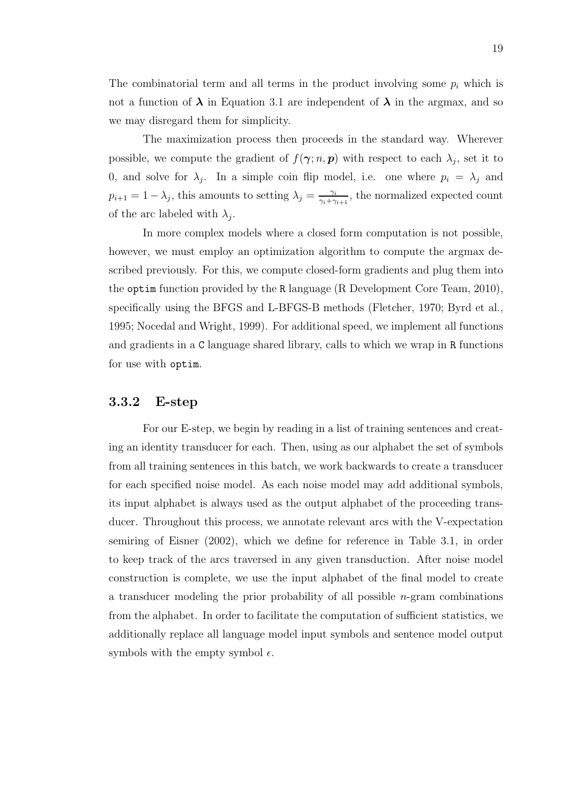The combinatorial term and all terms in the product involving some  $p_i$  which is not a function of  $\lambda$  in Equation 3.1 are independent of  $\lambda$  in the argmax, and so we may disregard them for simplicity.

The maximization process then proceeds in the standard way. Wherever possible, we compute the gradient of  $f(\gamma; n, p)$  with respect to each  $\lambda_j$ , set it to 0, and solve for  $\lambda_j$ . In a simple coin flip model, i.e. one where  $p_i = \lambda_j$  and  $p_{i+1} = 1 - \lambda_j$ , this amounts to setting  $\lambda_j = \frac{\gamma_i}{\gamma_i + \gamma_j}$  $\frac{\gamma_i}{\gamma_i+\gamma_{i+1}},$  the normalized expected count of the arc labeled with  $\lambda_j$ .

In more complex models where a closed form computation is not possible, however, we must employ an optimization algorithm to compute the argmax described previously. For this, we compute closed-form gradients and plug them into the optim function provided by the R language (R Development Core Team, 2010), specifically using the BFGS and L-BFGS-B methods (Fletcher, 1970; Byrd et al., 1995; Nocedal and Wright, 1999). For additional speed, we implement all functions and gradients in a C language shared library, calls to which we wrap in R functions for use with optim.

### 3.3.2 E-step

For our E-step, we begin by reading in a list of training sentences and creating an identity transducer for each. Then, using as our alphabet the set of symbols from all training sentences in this batch, we work backwards to create a transducer for each specified noise model. As each noise model may add additional symbols, its input alphabet is always used as the output alphabet of the proceeding transducer. Throughout this process, we annotate relevant arcs with the V-expectation semiring of Eisner (2002), which we define for reference in Table 3.1, in order to keep track of the arcs traversed in any given transduction. After noise model construction is complete, we use the input alphabet of the final model to create a transducer modeling the prior probability of all possible  $n$ -gram combinations from the alphabet. In order to facilitate the computation of sufficient statistics, we additionally replace all language model input symbols and sentence model output symbols with the empty symbol  $\epsilon$ .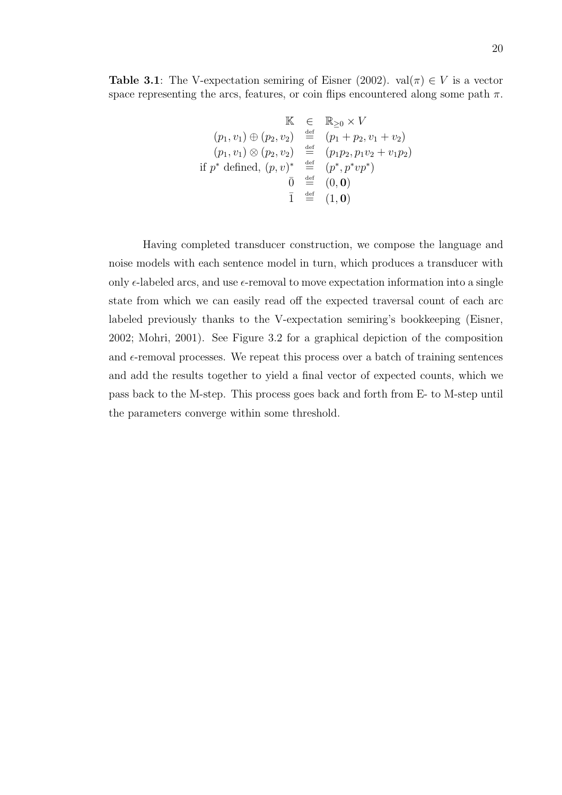$$
\begin{array}{rcl}\n & \mathbb{K} & \in & \mathbb{R}_{\geq 0} \times V \\
 (p_1, v_1) \oplus (p_2, v_2) & \stackrel{\text{def}}{=} & (p_1 + p_2, v_1 + v_2) \\
 (p_1, v_1) \otimes (p_2, v_2) & \stackrel{\text{def}}{=} & (p_1 p_2, p_1 v_2 + v_1 p_2) \\
 \text{if } p^* \text{ defined, } (p, v)^* & \stackrel{\text{def}}{=} & (p^*, p^* v p^*) \\
 & \bar{0} & \stackrel{\text{def}}{=} & (0, \mathbf{0}) \\
 & \bar{1} & \stackrel{\text{def}}{=} & (1, \mathbf{0})\n\end{array}
$$

Having completed transducer construction, we compose the language and noise models with each sentence model in turn, which produces a transducer with only  $\epsilon$ -labeled arcs, and use  $\epsilon$ -removal to move expectation information into a single state from which we can easily read off the expected traversal count of each arc labeled previously thanks to the V-expectation semiring's bookkeeping (Eisner, 2002; Mohri, 2001). See Figure 3.2 for a graphical depiction of the composition and  $\epsilon$ -removal processes. We repeat this process over a batch of training sentences and add the results together to yield a final vector of expected counts, which we pass back to the M-step. This process goes back and forth from E- to M-step until the parameters converge within some threshold.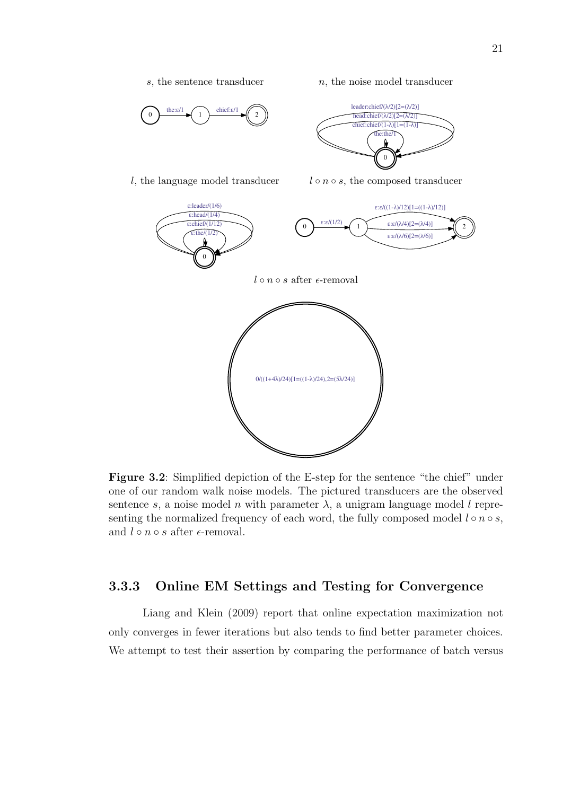

Figure 3.2: Simplified depiction of the E-step for the sentence "the chief" under one of our random walk noise models. The pictured transducers are the observed sentence s, a noise model n with parameter  $\lambda$ , a unigram language model l representing the normalized frequency of each word, the fully composed model  $l \circ n \circ s$ , and  $l \circ n \circ s$  after  $\epsilon$ -removal.

### 3.3.3 Online EM Settings and Testing for Convergence

Liang and Klein (2009) report that online expectation maximization not only converges in fewer iterations but also tends to find better parameter choices. We attempt to test their assertion by comparing the performance of batch versus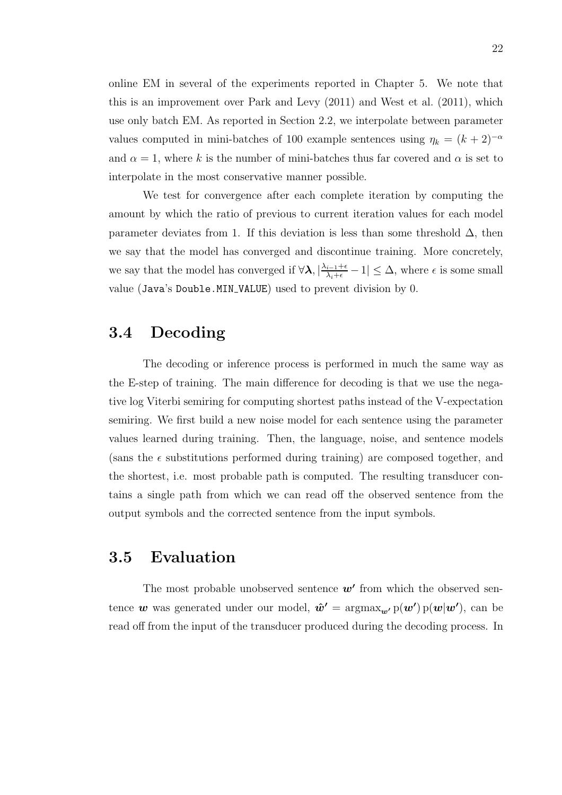online EM in several of the experiments reported in Chapter 5. We note that this is an improvement over Park and Levy (2011) and West et al. (2011), which use only batch EM. As reported in Section 2.2, we interpolate between parameter values computed in mini-batches of 100 example sentences using  $\eta_k = (k+2)^{-\alpha}$ and  $\alpha = 1$ , where k is the number of mini-batches thus far covered and  $\alpha$  is set to interpolate in the most conservative manner possible.

We test for convergence after each complete iteration by computing the amount by which the ratio of previous to current iteration values for each model parameter deviates from 1. If this deviation is less than some threshold  $\Delta$ , then we say that the model has converged and discontinue training. More concretely, we say that the model has converged if  $\forall \lambda, |\frac{\lambda_{i-1}+\epsilon}{\lambda_i+\epsilon}-1| \leq \Delta$ , where  $\epsilon$  is some small value (Java's Double.MIN VALUE) used to prevent division by 0.

## 3.4 Decoding

The decoding or inference process is performed in much the same way as the E-step of training. The main difference for decoding is that we use the negative log Viterbi semiring for computing shortest paths instead of the V-expectation semiring. We first build a new noise model for each sentence using the parameter values learned during training. Then, the language, noise, and sentence models (sans the  $\epsilon$  substitutions performed during training) are composed together, and the shortest, i.e. most probable path is computed. The resulting transducer contains a single path from which we can read off the observed sentence from the output symbols and the corrected sentence from the input symbols.

## 3.5 Evaluation

The most probable unobserved sentence  $w'$  from which the observed sentence w was generated under our model,  $\hat{\boldsymbol{w}}' = \operatorname{argmax}_{\boldsymbol{w'}} p(\boldsymbol{w'}) p(\boldsymbol{w}|\boldsymbol{w'}),$  can be read off from the input of the transducer produced during the decoding process. In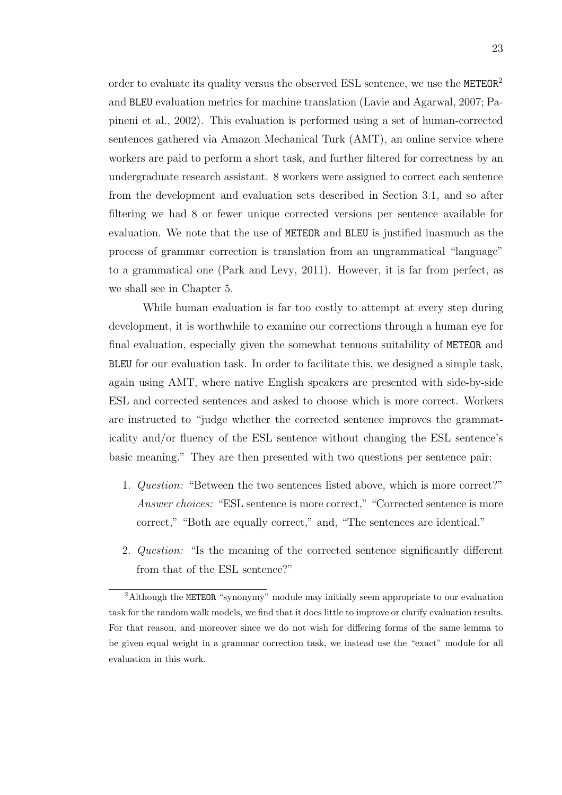order to evaluate its quality versus the observed ESL sentence, we use the  $METEOR<sup>2</sup>$ and BLEU evaluation metrics for machine translation (Lavie and Agarwal, 2007; Papineni et al., 2002). This evaluation is performed using a set of human-corrected sentences gathered via Amazon Mechanical Turk (AMT), an online service where workers are paid to perform a short task, and further filtered for correctness by an undergraduate research assistant. 8 workers were assigned to correct each sentence from the development and evaluation sets described in Section 3.1, and so after filtering we had 8 or fewer unique corrected versions per sentence available for evaluation. We note that the use of METEOR and BLEU is justified inasmuch as the process of grammar correction is translation from an ungrammatical "language" to a grammatical one (Park and Levy, 2011). However, it is far from perfect, as we shall see in Chapter 5.

While human evaluation is far too costly to attempt at every step during development, it is worthwhile to examine our corrections through a human eye for final evaluation, especially given the somewhat tenuous suitability of METEOR and BLEU for our evaluation task. In order to facilitate this, we designed a simple task, again using AMT, where native English speakers are presented with side-by-side ESL and corrected sentences and asked to choose which is more correct. Workers are instructed to "judge whether the corrected sentence improves the grammaticality and/or fluency of the ESL sentence without changing the ESL sentence's basic meaning." They are then presented with two questions per sentence pair:

- 1. Question: "Between the two sentences listed above, which is more correct?" Answer choices: "ESL sentence is more correct," "Corrected sentence is more correct," "Both are equally correct," and, "The sentences are identical."
- 2. Question: "Is the meaning of the corrected sentence significantly different from that of the ESL sentence?"

<sup>&</sup>lt;sup>2</sup>Although the METEOR "synonymy" module may initially seem appropriate to our evaluation task for the random walk models, we find that it does little to improve or clarify evaluation results. For that reason, and moreover since we do not wish for differing forms of the same lemma to be given equal weight in a grammar correction task, we instead use the "exact" module for all evaluation in this work.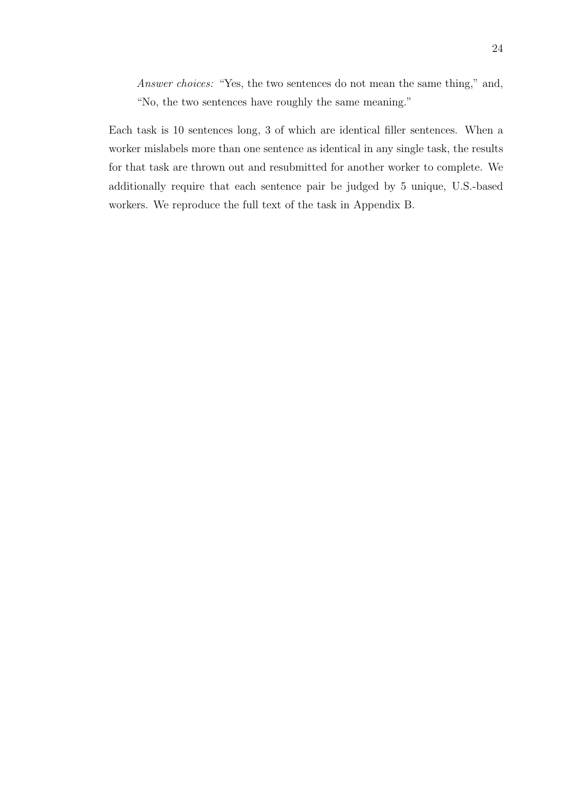Answer choices: "Yes, the two sentences do not mean the same thing," and, "No, the two sentences have roughly the same meaning."

Each task is 10 sentences long, 3 of which are identical filler sentences. When a worker mislabels more than one sentence as identical in any single task, the results for that task are thrown out and resubmitted for another worker to complete. We additionally require that each sentence pair be judged by 5 unique, U.S.-based workers. We reproduce the full text of the task in Appendix B.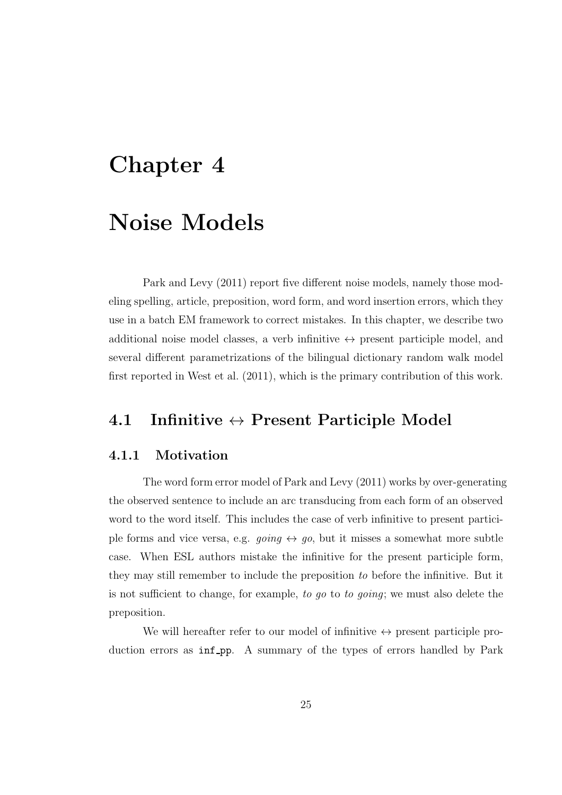# Chapter 4

### Noise Models

Park and Levy (2011) report five different noise models, namely those modeling spelling, article, preposition, word form, and word insertion errors, which they use in a batch EM framework to correct mistakes. In this chapter, we describe two additional noise model classes, a verb infinitive  $\leftrightarrow$  present participle model, and several different parametrizations of the bilingual dictionary random walk model first reported in West et al. (2011), which is the primary contribution of this work.

### 4.1 Infinitive  $\leftrightarrow$  Present Participle Model

### 4.1.1 Motivation

The word form error model of Park and Levy (2011) works by over-generating the observed sentence to include an arc transducing from each form of an observed word to the word itself. This includes the case of verb infinitive to present participle forms and vice versa, e.g. going  $\leftrightarrow$  go, but it misses a somewhat more subtle case. When ESL authors mistake the infinitive for the present participle form, they may still remember to include the preposition to before the infinitive. But it is not sufficient to change, for example, to go to to going; we must also delete the preposition.

We will hereafter refer to our model of infinitive  $\leftrightarrow$  present participle production errors as inf-pp. A summary of the types of errors handled by Park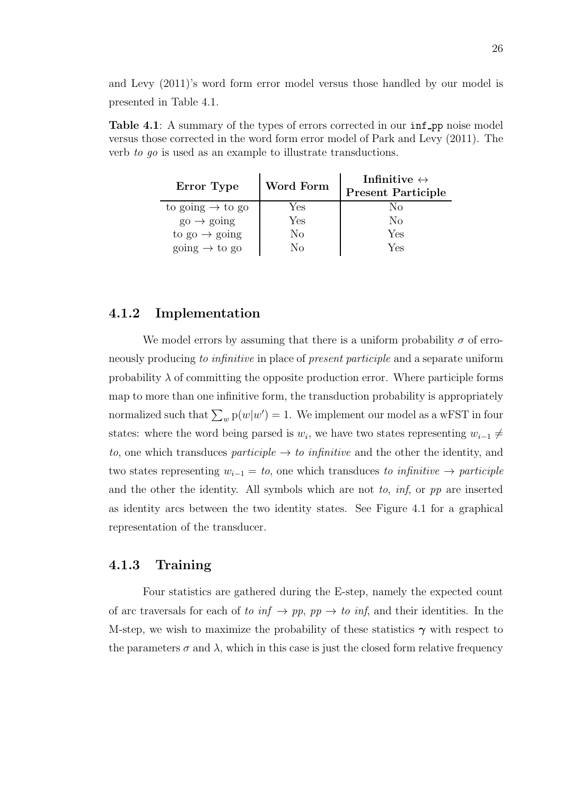and Levy (2011)'s word form error model versus those handled by our model is presented in Table 4.1.

Table 4.1: A summary of the types of errors corrected in our inf pp noise model versus those corrected in the word form error model of Park and Levy (2011). The verb to go is used as an example to illustrate transductions.

| Error Type                               | Word Form | Infinitive $\leftrightarrow$<br><b>Present Participle</b> |
|------------------------------------------|-----------|-----------------------------------------------------------|
| to going $\rightarrow$ to go             | Yes       | Nο                                                        |
| $\mathrm{go} \rightarrow \mathrm{going}$ | Yes       | Nο                                                        |
| to $\text{go} \rightarrow \text{going}$  | No        | Yes                                                       |
| going $\rightarrow$ to go                | Nο        | Yes                                                       |

### 4.1.2 Implementation

We model errors by assuming that there is a uniform probability  $\sigma$  of erroneously producing to infinitive in place of present participle and a separate uniform probability  $\lambda$  of committing the opposite production error. Where participle forms map to more than one infinitive form, the transduction probability is appropriately normalized such that  $\sum_{w} p(w|w') = 1$ . We implement our model as a wFST in four states: where the word being parsed is  $w_i$ , we have two states representing  $w_{i-1} \neq$ to, one which transduces participle  $\rightarrow$  to infinitive and the other the identity, and two states representing  $w_{i-1} = to$ , one which transduces to infinitive  $\rightarrow$  participle and the other the identity. All symbols which are not to,  $\inf$ , or pp are inserted as identity arcs between the two identity states. See Figure 4.1 for a graphical representation of the transducer.

### 4.1.3 Training

Four statistics are gathered during the E-step, namely the expected count of arc traversals for each of to  $inf \rightarrow pp$ ,  $pp \rightarrow to inf$ , and their identities. In the M-step, we wish to maximize the probability of these statistics  $\gamma$  with respect to the parameters  $\sigma$  and  $\lambda$ , which in this case is just the closed form relative frequency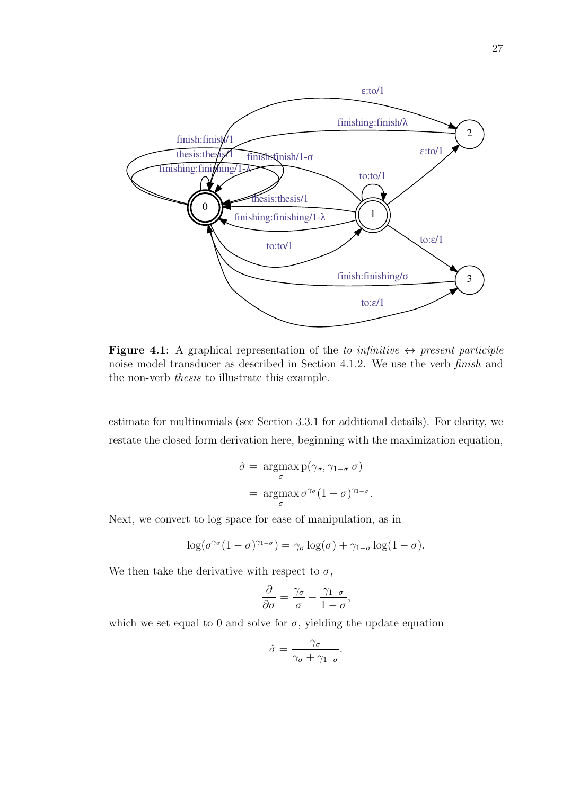

**Figure 4.1:** A graphical representation of the to infinitive  $\leftrightarrow$  present participle noise model transducer as described in Section 4.1.2. We use the verb finish and the non-verb thesis to illustrate this example.

estimate for multinomials (see Section 3.3.1 for additional details). For clarity, we restate the closed form derivation here, beginning with the maximization equation,

$$
\hat{\sigma} = \underset{\sigma}{\operatorname{argmax}} \, p(\gamma_{\sigma}, \gamma_{1-\sigma}|\sigma)
$$

$$
= \underset{\sigma}{\operatorname{argmax}} \, \sigma^{\gamma_{\sigma}} (1-\sigma)^{\gamma_{1-\sigma}}.
$$

Next, we convert to log space for ease of manipulation, as in

$$
\log(\sigma^{\gamma_{\sigma}}(1-\sigma)^{\gamma_{1-\sigma}})=\gamma_{\sigma}\log(\sigma)+\gamma_{1-\sigma}\log(1-\sigma).
$$

We then take the derivative with respect to  $\sigma$ ,

$$
\frac{\partial}{\partial \sigma} = \frac{\gamma_{\sigma}}{\sigma} - \frac{\gamma_{1-\sigma}}{1-\sigma},
$$

which we set equal to 0 and solve for  $\sigma$ , yielding the update equation

$$
\hat{\sigma} = \frac{\gamma_{\sigma}}{\gamma_{\sigma} + \gamma_{1-\sigma}}.
$$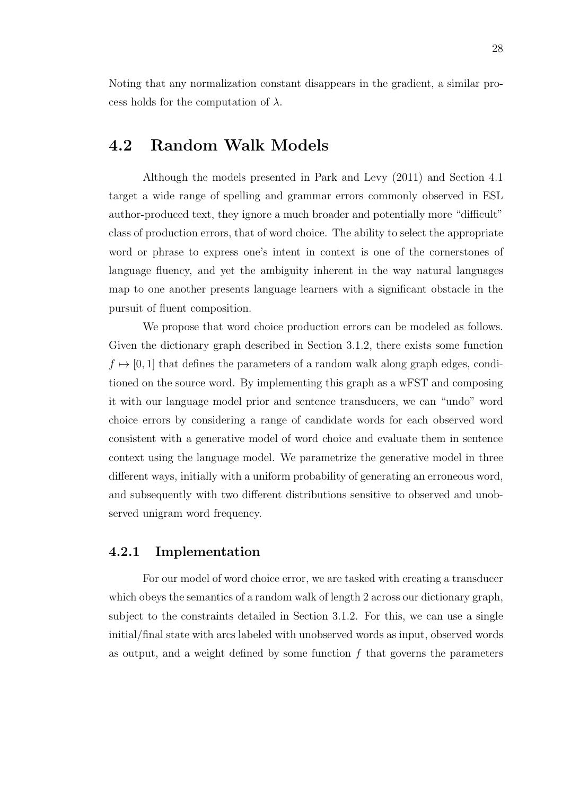Noting that any normalization constant disappears in the gradient, a similar process holds for the computation of  $\lambda$ .

### 4.2 Random Walk Models

Although the models presented in Park and Levy (2011) and Section 4.1 target a wide range of spelling and grammar errors commonly observed in ESL author-produced text, they ignore a much broader and potentially more "difficult" class of production errors, that of word choice. The ability to select the appropriate word or phrase to express one's intent in context is one of the cornerstones of language fluency, and yet the ambiguity inherent in the way natural languages map to one another presents language learners with a significant obstacle in the pursuit of fluent composition.

We propose that word choice production errors can be modeled as follows. Given the dictionary graph described in Section 3.1.2, there exists some function  $f \mapsto [0, 1]$  that defines the parameters of a random walk along graph edges, conditioned on the source word. By implementing this graph as a wFST and composing it with our language model prior and sentence transducers, we can "undo" word choice errors by considering a range of candidate words for each observed word consistent with a generative model of word choice and evaluate them in sentence context using the language model. We parametrize the generative model in three different ways, initially with a uniform probability of generating an erroneous word, and subsequently with two different distributions sensitive to observed and unobserved unigram word frequency.

### 4.2.1 Implementation

For our model of word choice error, we are tasked with creating a transducer which obeys the semantics of a random walk of length 2 across our dictionary graph, subject to the constraints detailed in Section 3.1.2. For this, we can use a single initial/final state with arcs labeled with unobserved words as input, observed words as output, and a weight defined by some function  $f$  that governs the parameters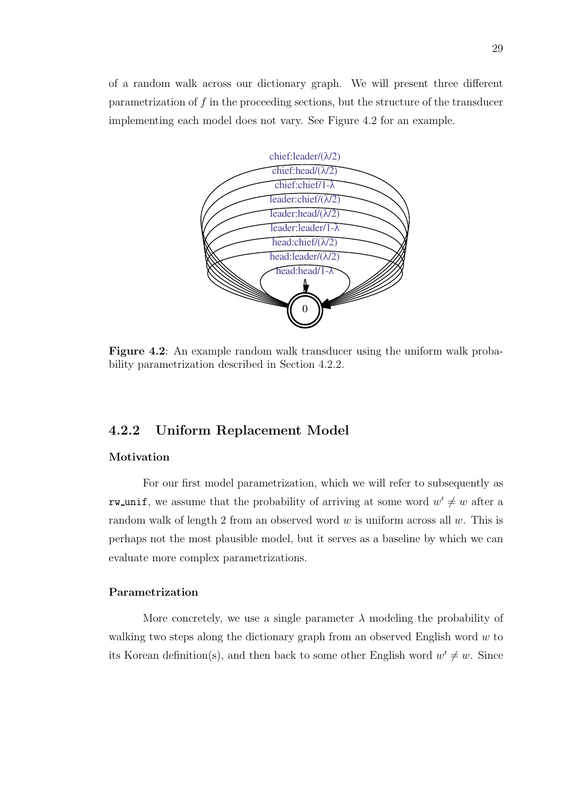of a random walk across our dictionary graph. We will present three different parametrization of f in the proceeding sections, but the structure of the transducer implementing each model does not vary. See Figure 4.2 for an example.



Figure 4.2: An example random walk transducer using the uniform walk probability parametrization described in Section 4.2.2.

### 4.2.2 Uniform Replacement Model

#### Motivation

For our first model parametrization, which we will refer to subsequently as rw unif, we assume that the probability of arriving at some word  $w' \neq w$  after a random walk of length 2 from an observed word  $w$  is uniform across all  $w$ . This is perhaps not the most plausible model, but it serves as a baseline by which we can evaluate more complex parametrizations.

#### Parametrization

More concretely, we use a single parameter  $\lambda$  modeling the probability of walking two steps along the dictionary graph from an observed English word  $w$  to its Korean definition(s), and then back to some other English word  $w' \neq w$ . Since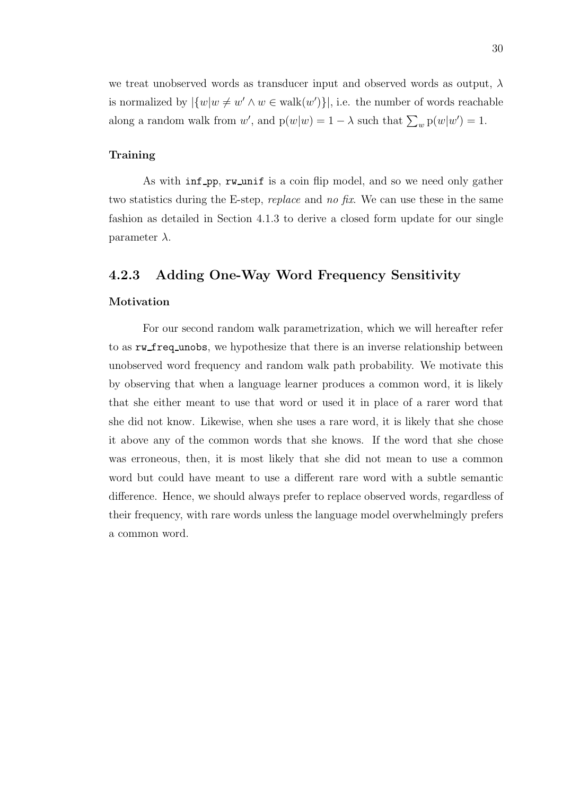we treat unobserved words as transducer input and observed words as output,  $\lambda$ is normalized by  $|\{w|w \neq w' \land w \in walk(w')\}|$ , i.e. the number of words reachable along a random walk from  $w'$ , and  $p(w|w) = 1 - \lambda$  such that  $\sum_{w} p(w|w') = 1$ .

#### Training

As with inf\_pp, rw\_unif is a coin flip model, and so we need only gather two statistics during the E-step, replace and no fix. We can use these in the same fashion as detailed in Section 4.1.3 to derive a closed form update for our single parameter  $\lambda$ .

### 4.2.3 Adding One-Way Word Frequency Sensitivity

#### Motivation

For our second random walk parametrization, which we will hereafter refer to as rw freq unobs, we hypothesize that there is an inverse relationship between unobserved word frequency and random walk path probability. We motivate this by observing that when a language learner produces a common word, it is likely that she either meant to use that word or used it in place of a rarer word that she did not know. Likewise, when she uses a rare word, it is likely that she chose it above any of the common words that she knows. If the word that she chose was erroneous, then, it is most likely that she did not mean to use a common word but could have meant to use a different rare word with a subtle semantic difference. Hence, we should always prefer to replace observed words, regardless of their frequency, with rare words unless the language model overwhelmingly prefers a common word.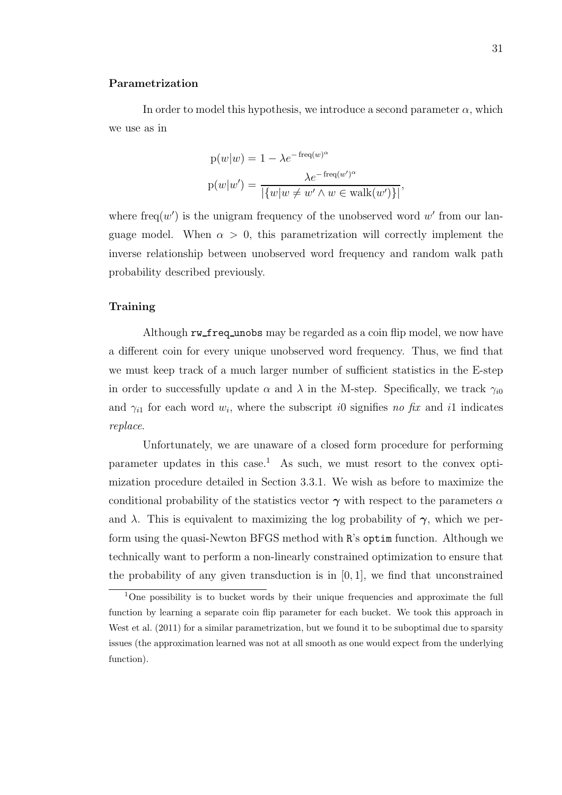#### Parametrization

In order to model this hypothesis, we introduce a second parameter  $\alpha$ , which we use as in

$$
p(w|w) = 1 - \lambda e^{-\text{freq}(w)^{\alpha}}
$$

$$
p(w|w') = \frac{\lambda e^{-\text{freq}(w')^{\alpha}}}{|\{w|w \neq w' \land w \in \text{walk}(w')\}|},
$$

where freq $(w')$  is the unigram frequency of the unobserved word w' from our language model. When  $\alpha > 0$ , this parametrization will correctly implement the inverse relationship between unobserved word frequency and random walk path probability described previously.

#### Training

Although rw freq unobs may be regarded as a coin flip model, we now have a different coin for every unique unobserved word frequency. Thus, we find that we must keep track of a much larger number of sufficient statistics in the E-step in order to successfully update  $\alpha$  and  $\lambda$  in the M-step. Specifically, we track  $\gamma_{i0}$ and  $\gamma_{i1}$  for each word  $w_i$ , where the subscript i0 signifies no fix and i1 indicates replace.

Unfortunately, we are unaware of a closed form procedure for performing parameter updates in this case.<sup>1</sup> As such, we must resort to the convex optimization procedure detailed in Section 3.3.1. We wish as before to maximize the conditional probability of the statistics vector  $\gamma$  with respect to the parameters  $\alpha$ and  $\lambda$ . This is equivalent to maximizing the log probability of  $\gamma$ , which we perform using the quasi-Newton BFGS method with R's optim function. Although we technically want to perform a non-linearly constrained optimization to ensure that the probability of any given transduction is in  $[0, 1]$ , we find that unconstrained

<sup>&</sup>lt;sup>1</sup>One possibility is to bucket words by their unique frequencies and approximate the full function by learning a separate coin flip parameter for each bucket. We took this approach in West et al. (2011) for a similar parametrization, but we found it to be suboptimal due to sparsity issues (the approximation learned was not at all smooth as one would expect from the underlying function).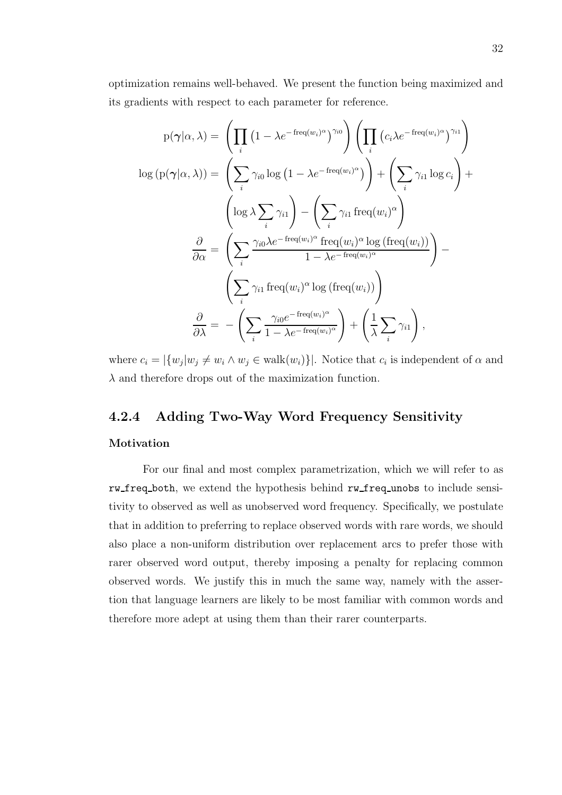optimization remains well-behaved. We present the function being maximized and its gradients with respect to each parameter for reference.

$$
p(\gamma|\alpha,\lambda) = \left(\prod_{i} (1 - \lambda e^{-freq(w_i)^{\alpha}})^{\gamma_{i0}}\right) \left(\prod_{i} (c_i \lambda e^{-freq(w_i)^{\alpha}})^{\gamma_{i1}}\right)
$$

$$
log (p(\gamma|\alpha,\lambda)) = \left(\sum_{i} \gamma_{i0} log (1 - \lambda e^{-freq(w_i)^{\alpha}})\right) + \left(\sum_{i} \gamma_{i1} log c_i\right) + \left(log \lambda \sum_{i} \gamma_{i1}\right) - \left(\sum_{i} \gamma_{i1} freq(w_i)^{\alpha}\right)
$$

$$
\frac{\partial}{\partial \alpha} = \left(\sum_{i} \frac{\gamma_{i0} \lambda e^{-freq(w_i)^{\alpha}} freq(w_i)^{\alpha} log (freq(w_i))}{1 - \lambda e^{-freq(w_i)^{\alpha}}}\right) - \left(\sum_{i} \gamma_{i1} freq(w_i)^{\alpha} log (freq(w_i))\right)
$$

$$
\frac{\partial}{\partial \lambda} = -\left(\sum_{i} \frac{\gamma_{i0} e^{-freq(w_i)^{\alpha}}}{1 - \lambda e^{-freq(w_i)^{\alpha}}}\right) + \left(\frac{1}{\lambda} \sum_{i} \gamma_{i1}\right),
$$

where  $c_i = |\{w_j | w_j \neq w_i \land w_j \in walk(w_i)\}|$ . Notice that  $c_i$  is independent of  $\alpha$  and  $\lambda$  and therefore drops out of the maximization function.

### 4.2.4 Adding Two-Way Word Frequency Sensitivity

#### Motivation

For our final and most complex parametrization, which we will refer to as rw freq both, we extend the hypothesis behind rw freq unobs to include sensitivity to observed as well as unobserved word frequency. Specifically, we postulate that in addition to preferring to replace observed words with rare words, we should also place a non-uniform distribution over replacement arcs to prefer those with rarer observed word output, thereby imposing a penalty for replacing common observed words. We justify this in much the same way, namely with the assertion that language learners are likely to be most familiar with common words and therefore more adept at using them than their rarer counterparts.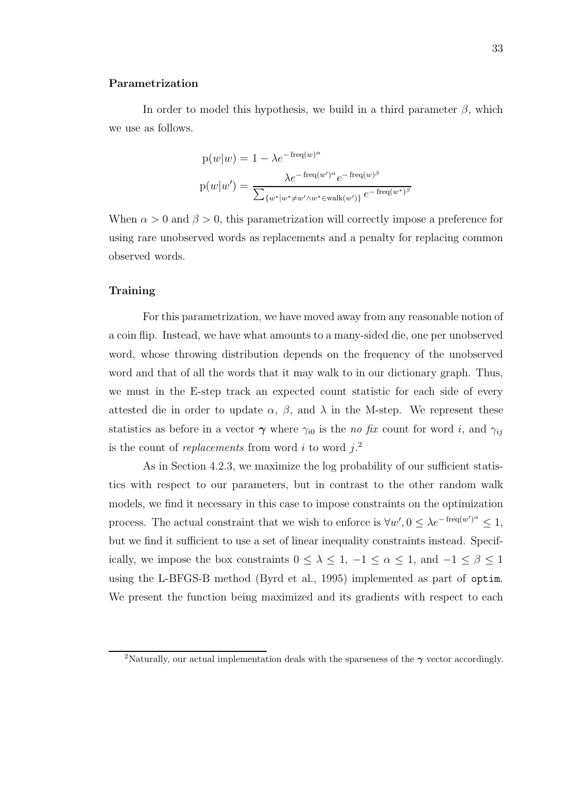#### Parametrization

In order to model this hypothesis, we build in a third parameter  $\beta$ , which we use as follows.

$$
p(w|w) = 1 - \lambda e^{-\text{freq}(w)^{\alpha}}
$$

$$
p(w|w') = \frac{\lambda e^{-\text{freq}(w')^{\alpha}} e^{-\text{freq}(w)^{\beta}}}{\sum_{\{w^*|w^* \neq w' \land w^* \in \text{walk}(w')\}} e^{-\text{freq}(w^*)^{\beta}}}
$$

When  $\alpha > 0$  and  $\beta > 0$ , this parametrization will correctly impose a preference for using rare unobserved words as replacements and a penalty for replacing common observed words.

#### Training

For this parametrization, we have moved away from any reasonable notion of a coin flip. Instead, we have what amounts to a many-sided die, one per unobserved word, whose throwing distribution depends on the frequency of the unobserved word and that of all the words that it may walk to in our dictionary graph. Thus, we must in the E-step track an expected count statistic for each side of every attested die in order to update  $\alpha$ ,  $\beta$ , and  $\lambda$  in the M-step. We represent these statistics as before in a vector  $\gamma$  where  $\gamma_{i0}$  is the no fix count for word i, and  $\gamma_{ii}$ is the count of *replacements* from word i to word  $j$ .<sup>2</sup>

As in Section 4.2.3, we maximize the log probability of our sufficient statistics with respect to our parameters, but in contrast to the other random walk models, we find it necessary in this case to impose constraints on the optimization process. The actual constraint that we wish to enforce is  $\forall w', 0 \leq \lambda e^{-\text{freq}(w')^{\alpha}} \leq 1$ , but we find it sufficient to use a set of linear inequality constraints instead. Specifically, we impose the box constraints  $0 \leq \lambda \leq 1, -1 \leq \alpha \leq 1$ , and  $-1 \leq \beta \leq 1$ using the L-BFGS-B method (Byrd et al., 1995) implemented as part of optim. We present the function being maximized and its gradients with respect to each

<sup>&</sup>lt;sup>2</sup>Naturally, our actual implementation deals with the sparseness of the  $\gamma$  vector accordingly.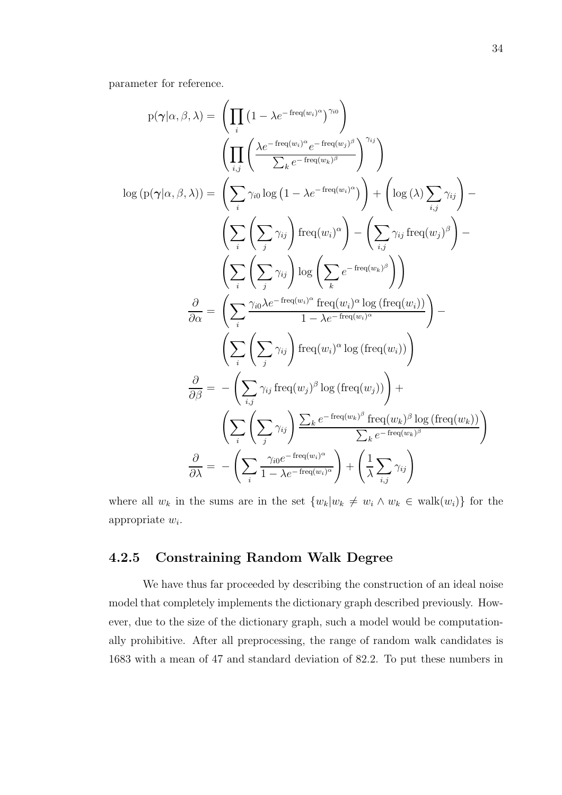parameter for reference.

$$
p(\gamma | \alpha, \beta, \lambda) = \left( \prod_{i} (1 - \lambda e^{-freq(w_i)^{\alpha}})^{\gamma_{i0}} \right)
$$
  
\n
$$
\left( \prod_{i,j} \left( \frac{\lambda e^{-freq(w_i)^{\alpha}} e^{-freq(w_j)^{\beta}}}{\sum_{k} e^{-freq(w_k)^{\beta}}} \right)^{\gamma_{ij}} \right)
$$
  
\n
$$
log (p(\gamma | \alpha, \beta, \lambda)) = \left( \sum_{i} \gamma_{i0} log (1 - \lambda e^{-freq(w_i)^{\alpha}}) \right) + \left( log (\lambda) \sum_{i,j} \gamma_{ij} \right) - \left( \sum_{i} \left( \sum_{j} \gamma_{ij} \right) freq(w_i)^{\alpha} \right) - \left( \sum_{i,j} \gamma_{ij} freq(w_j)^{\beta} \right) - \left( \sum_{i} \left( \sum_{j} \gamma_{ij} \right) log \left( \sum_{k} e^{-freq(w_k)^{\beta}} \right) \right)
$$
  
\n
$$
\frac{\partial}{\partial \alpha} = \left( \sum_{i} \frac{\gamma_{i0} \lambda e^{-freq(w_i)^{\alpha}} freq(w_i)^{\alpha} log (freq(w_i))}{1 - \lambda e^{-freq(w_i)^{\alpha}}} \right) - \left( \sum_{i} \left( \sum_{j} \gamma_{ij} \right) freq(w_i)^{\alpha} log (freq(w_i)) \right)
$$
  
\n
$$
\frac{\partial}{\partial \beta} = - \left( \sum_{i,j} \gamma_{ij} freq(w_j)^{\beta} log (freq(w_j)) \right) + \left( \sum_{i} \left( \sum_{j} \gamma_{ij} \right) \frac{\sum_{k} e^{-freq(w_k)^{\beta}} freq(w_k)^{\beta} log (freq(w_k))}{\sum_{k} e^{-freq(w_k)^{\beta}} \right)}
$$
  
\n
$$
\frac{\partial}{\partial \lambda} = - \left( \sum_{i} \frac{\gamma_{i0} e^{-freq(w_i)^{\alpha}}}{1 - \lambda e^{-freq(w_i)^{\alpha}}} \right) + \left( \frac{1}{\lambda} \sum_{i,j} \gamma_{ij} \right)
$$

where all  $w_k$  in the sums are in the set  $\{w_k|w_k \neq w_i \land w_k \in \text{walk}(w_i)\}\)$  for the appropriate  $w_i$ .

### 4.2.5 Constraining Random Walk Degree

We have thus far proceeded by describing the construction of an ideal noise model that completely implements the dictionary graph described previously. However, due to the size of the dictionary graph, such a model would be computationally prohibitive. After all preprocessing, the range of random walk candidates is 1683 with a mean of 47 and standard deviation of 82.2. To put these numbers in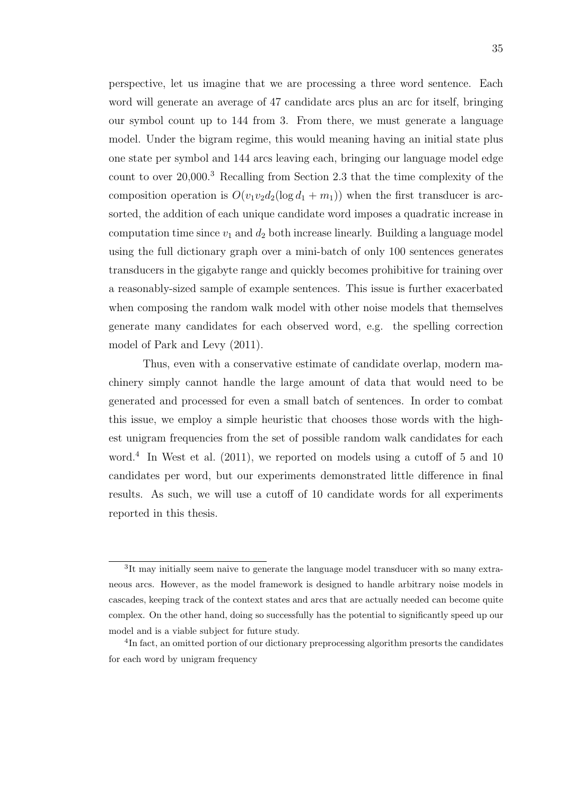perspective, let us imagine that we are processing a three word sentence. Each word will generate an average of 47 candidate arcs plus an arc for itself, bringing our symbol count up to 144 from 3. From there, we must generate a language model. Under the bigram regime, this would meaning having an initial state plus one state per symbol and 144 arcs leaving each, bringing our language model edge count to over 20,000.<sup>3</sup> Recalling from Section 2.3 that the time complexity of the composition operation is  $O(v_1v_2d_2(\log d_1 + m_1))$  when the first transducer is arcsorted, the addition of each unique candidate word imposes a quadratic increase in computation time since  $v_1$  and  $d_2$  both increase linearly. Building a language model using the full dictionary graph over a mini-batch of only 100 sentences generates transducers in the gigabyte range and quickly becomes prohibitive for training over a reasonably-sized sample of example sentences. This issue is further exacerbated when composing the random walk model with other noise models that themselves generate many candidates for each observed word, e.g. the spelling correction model of Park and Levy (2011).

Thus, even with a conservative estimate of candidate overlap, modern machinery simply cannot handle the large amount of data that would need to be generated and processed for even a small batch of sentences. In order to combat this issue, we employ a simple heuristic that chooses those words with the highest unigram frequencies from the set of possible random walk candidates for each word.<sup>4</sup> In West et al. (2011), we reported on models using a cutoff of 5 and 10 candidates per word, but our experiments demonstrated little difference in final results. As such, we will use a cutoff of 10 candidate words for all experiments reported in this thesis.

<sup>&</sup>lt;sup>3</sup>It may initially seem naive to generate the language model transducer with so many extraneous arcs. However, as the model framework is designed to handle arbitrary noise models in cascades, keeping track of the context states and arcs that are actually needed can become quite complex. On the other hand, doing so successfully has the potential to significantly speed up our model and is a viable subject for future study.

<sup>&</sup>lt;sup>4</sup>In fact, an omitted portion of our dictionary preprocessing algorithm presorts the candidates for each word by unigram frequency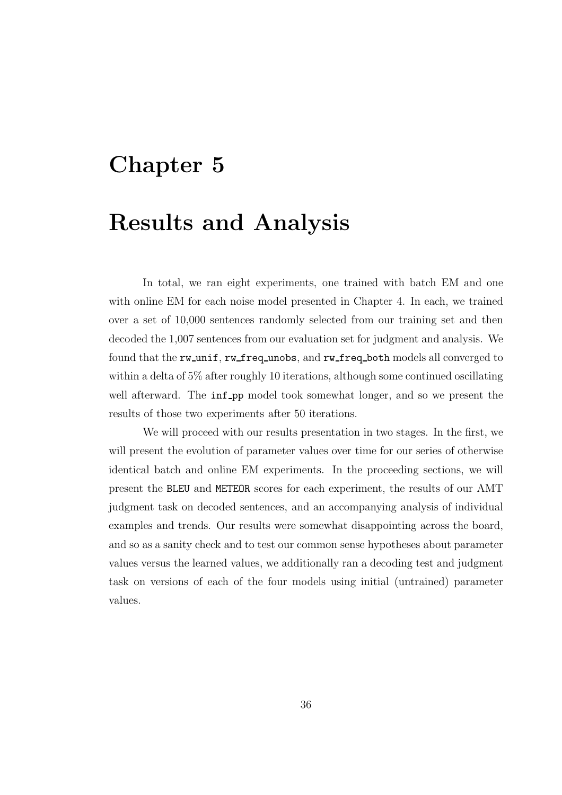## Chapter 5

### Results and Analysis

In total, we ran eight experiments, one trained with batch EM and one with online EM for each noise model presented in Chapter 4. In each, we trained over a set of 10,000 sentences randomly selected from our training set and then decoded the 1,007 sentences from our evaluation set for judgment and analysis. We found that the rw\_unif, rw\_freq\_unobs, and rw\_freq\_both models all converged to within a delta of 5% after roughly 10 iterations, although some continued oscillating well afterward. The **inf**<sub>pp</sub> model took somewhat longer, and so we present the results of those two experiments after 50 iterations.

We will proceed with our results presentation in two stages. In the first, we will present the evolution of parameter values over time for our series of otherwise identical batch and online EM experiments. In the proceeding sections, we will present the BLEU and METEOR scores for each experiment, the results of our AMT judgment task on decoded sentences, and an accompanying analysis of individual examples and trends. Our results were somewhat disappointing across the board, and so as a sanity check and to test our common sense hypotheses about parameter values versus the learned values, we additionally ran a decoding test and judgment task on versions of each of the four models using initial (untrained) parameter values.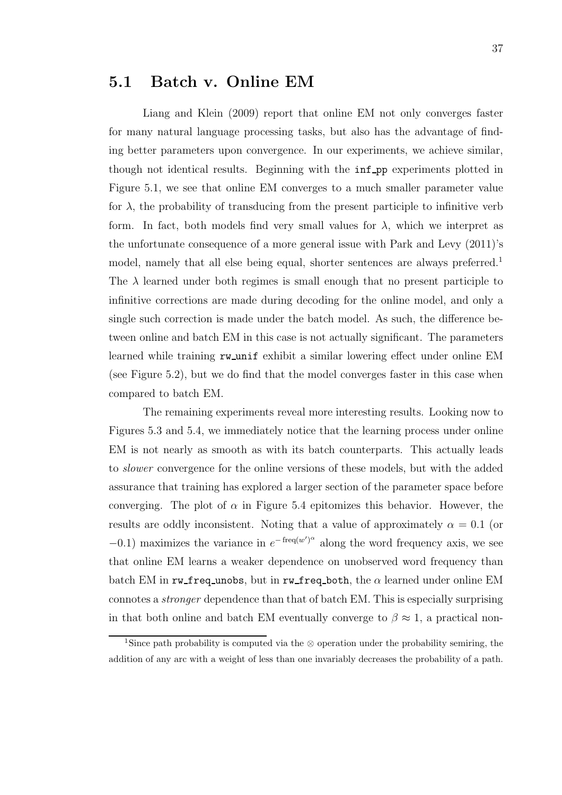### 5.1 Batch v. Online EM

Liang and Klein (2009) report that online EM not only converges faster for many natural language processing tasks, but also has the advantage of finding better parameters upon convergence. In our experiments, we achieve similar, though not identical results. Beginning with the  $inf$ -pp experiments plotted in Figure 5.1, we see that online EM converges to a much smaller parameter value for  $\lambda$ , the probability of transducing from the present participle to infinitive verb form. In fact, both models find very small values for  $\lambda$ , which we interpret as the unfortunate consequence of a more general issue with Park and Levy (2011)'s model, namely that all else being equal, shorter sentences are always preferred.<sup>1</sup> The  $\lambda$  learned under both regimes is small enough that no present participle to infinitive corrections are made during decoding for the online model, and only a single such correction is made under the batch model. As such, the difference between online and batch EM in this case is not actually significant. The parameters learned while training rw unif exhibit a similar lowering effect under online EM (see Figure 5.2), but we do find that the model converges faster in this case when compared to batch EM.

The remaining experiments reveal more interesting results. Looking now to Figures 5.3 and 5.4, we immediately notice that the learning process under online EM is not nearly as smooth as with its batch counterparts. This actually leads to slower convergence for the online versions of these models, but with the added assurance that training has explored a larger section of the parameter space before converging. The plot of  $\alpha$  in Figure 5.4 epitomizes this behavior. However, the results are oddly inconsistent. Noting that a value of approximately  $\alpha = 0.1$  (or  $-0.1$ ) maximizes the variance in  $e^{-\text{freq}(w')^{\alpha}}$  along the word frequency axis, we see that online EM learns a weaker dependence on unobserved word frequency than batch EM in rw\_freq\_unobs, but in rw\_freq\_both, the  $\alpha$  learned under online EM connotes a stronger dependence than that of batch EM. This is especially surprising in that both online and batch EM eventually converge to  $\beta \approx 1$ , a practical non-

<sup>1</sup>Since path probability is computed via the ⊗ operation under the probability semiring, the addition of any arc with a weight of less than one invariably decreases the probability of a path.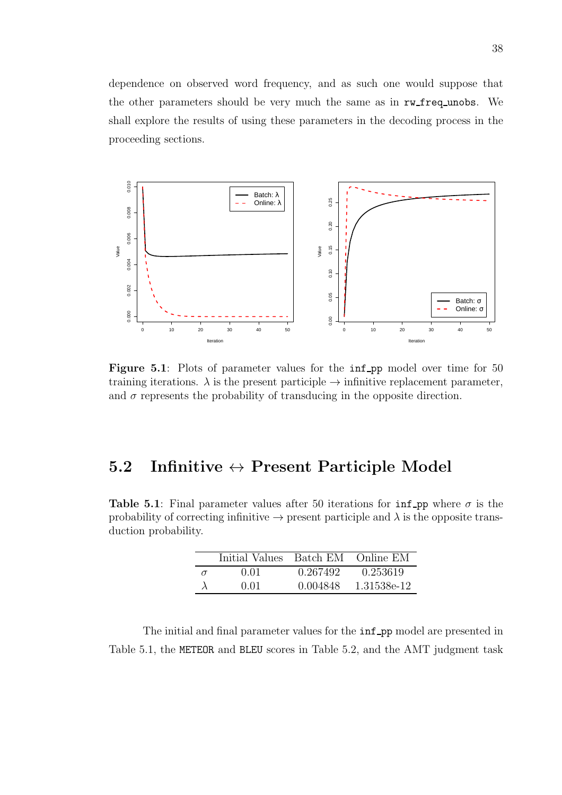dependence on observed word frequency, and as such one would suppose that the other parameters should be very much the same as in rw\_freq\_unobs. We shall explore the results of using these parameters in the decoding process in the proceeding sections.



Figure 5.1: Plots of parameter values for the inf pp model over time for 50 training iterations.  $\lambda$  is the present participle  $\rightarrow$  infinitive replacement parameter, and  $\sigma$  represents the probability of transducing in the opposite direction.

### 5.2 Infinitive  $\leftrightarrow$  Present Participle Model

Table 5.1: Final parameter values after 50 iterations for  $\inf$ -pp where  $\sigma$  is the probability of correcting infinitive  $\rightarrow$  present participle and  $\lambda$  is the opposite transduction probability.

|          | Initial Values Batch EM Online EM |          |             |
|----------|-----------------------------------|----------|-------------|
| $\sigma$ | 0.01                              | 0.267492 | 0.253619    |
|          | 0.01                              | 0.004848 | 1.31538e-12 |

The initial and final parameter values for the  $inf$ <sub>-pp</sub> model are presented in Table 5.1, the METEOR and BLEU scores in Table 5.2, and the AMT judgment task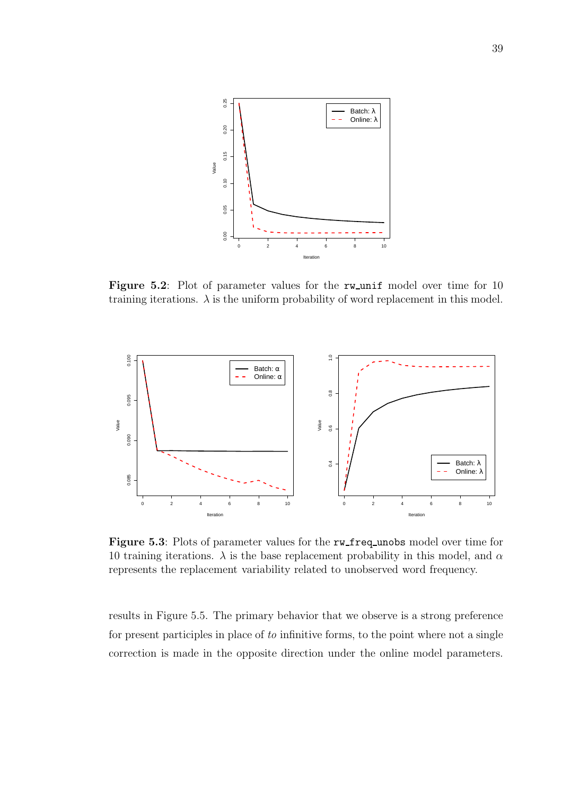

Figure 5.2: Plot of parameter values for the rw unif model over time for 10 training iterations.  $\lambda$  is the uniform probability of word replacement in this model.



Figure 5.3: Plots of parameter values for the rw\_freq\_unobs model over time for 10 training iterations.  $\lambda$  is the base replacement probability in this model, and  $\alpha$ represents the replacement variability related to unobserved word frequency.

results in Figure 5.5. The primary behavior that we observe is a strong preference for present participles in place of to infinitive forms, to the point where not a single correction is made in the opposite direction under the online model parameters.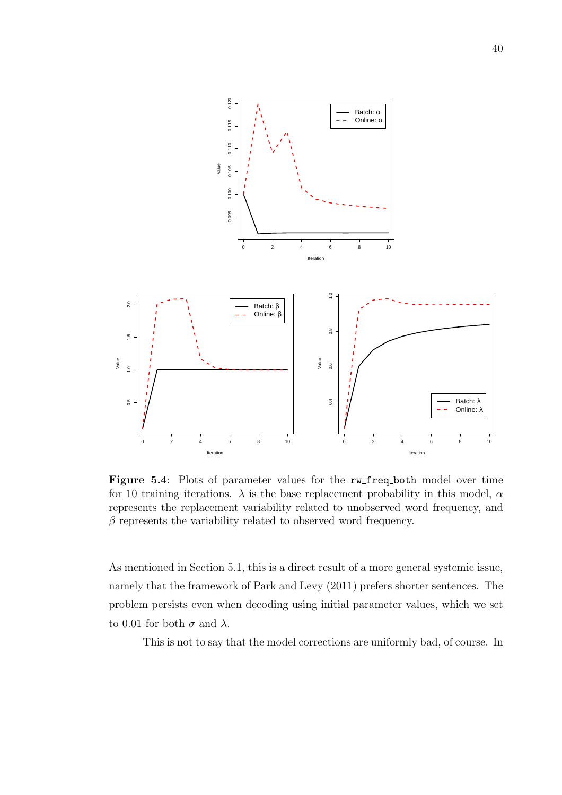

Figure 5.4: Plots of parameter values for the rw\_freq\_both model over time for 10 training iterations.  $\lambda$  is the base replacement probability in this model,  $\alpha$ represents the replacement variability related to unobserved word frequency, and  $\beta$  represents the variability related to observed word frequency.

As mentioned in Section 5.1, this is a direct result of a more general systemic issue, namely that the framework of Park and Levy (2011) prefers shorter sentences. The problem persists even when decoding using initial parameter values, which we set to 0.01 for both  $\sigma$  and  $\lambda$ .

This is not to say that the model corrections are uniformly bad, of course. In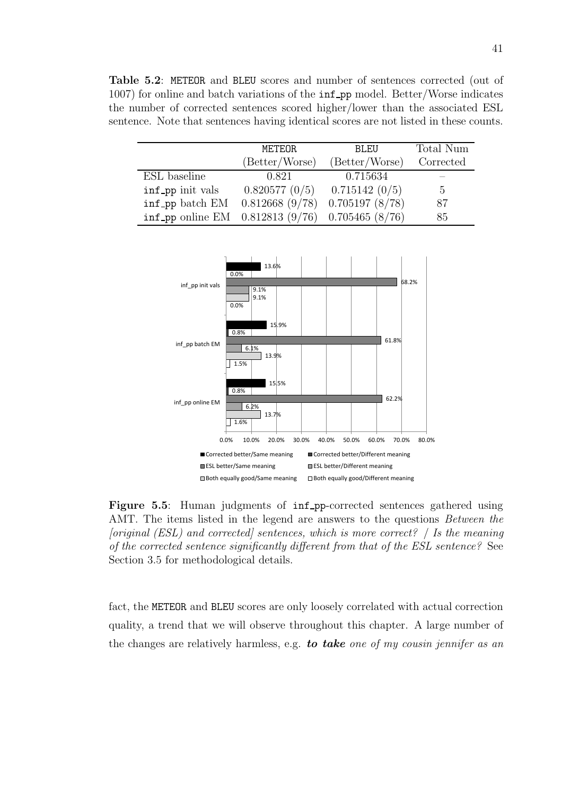Table 5.2: METEOR and BLEU scores and number of sentences corrected (out of 1007) for online and batch variations of the **inf** pp model. Better/Worse indicates the number of corrected sentences scored higher/lower than the associated ESL sentence. Note that sentences having identical scores are not listed in these counts.

|                                                   | METEOR         | BLEU           | Total Num   |
|---------------------------------------------------|----------------|----------------|-------------|
|                                                   | (Better/Worse) | (Better/Worse) | Corrected   |
| ESL baseline                                      | 0.821          | 0.715634       |             |
| inf_pp init vals                                  | 0.820577(0/5)  | 0.715142(0/5)  | $5^{\circ}$ |
| inf_pp batch EM                                   | 0.812668(9/78) | 0.705197(8/78) | 87          |
| inf_pp online EM $0.812813(9/76)$ 0.705465 (8/76) |                |                | 85          |



Figure 5.5: Human judgments of inf pp-corrected sentences gathered using AMT. The items listed in the legend are answers to the questions *Between the* [original (ESL) and corrected] sentences, which is more correct?  $\#$  Is the meaning of the corrected sentence significantly different from that of the ESL sentence? See Section 3.5 for methodological details.

fact, the METEOR and BLEU scores are only loosely correlated with actual correction quality, a trend that we will observe throughout this chapter. A large number of the changes are relatively harmless, e.g. to take one of my cousin jennifer as an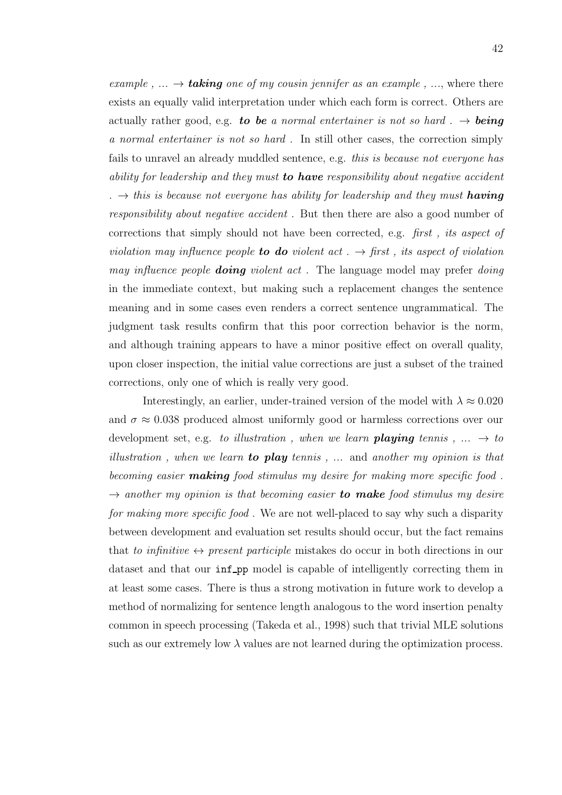example,  $\ldots \rightarrow$  taking one of my cousin jennifer as an example,  $\ldots$ , where there exists an equally valid interpretation under which each form is correct. Others are actually rather good, e.g. to be a normal entertainer is not so hard  $\ldots \rightarrow$  being a normal entertainer is not so hard . In still other cases, the correction simply fails to unravel an already muddled sentence, e.g. this is because not everyone has ability for leadership and they must to have responsibility about negative accident .  $\rightarrow$  this is because not everyone has ability for leadership and they must **having** responsibility about negative accident . But then there are also a good number of corrections that simply should not have been corrected, e.g. first , its aspect of violation may influence people **to do** violent act  $\rightarrow$  first, its aspect of violation may influence people **doing** violent act. The language model may prefer doing in the immediate context, but making such a replacement changes the sentence meaning and in some cases even renders a correct sentence ungrammatical. The judgment task results confirm that this poor correction behavior is the norm, and although training appears to have a minor positive effect on overall quality, upon closer inspection, the initial value corrections are just a subset of the trained corrections, only one of which is really very good.

Interestingly, an earlier, under-trained version of the model with  $\lambda \approx 0.020$ and  $\sigma \approx 0.038$  produced almost uniformly good or harmless corrections over our development set, e.g. to illustration, when we learn **playing** tennis,  $\ldots \rightarrow$  to illustration, when we learn **to play** tennis,  $\ldots$  and another my opinion is that becoming easier **making** food stimulus my desire for making more specific food.  $\rightarrow$  another my opinion is that becoming easier to make food stimulus my desire for making more specific food . We are not well-placed to say why such a disparity between development and evaluation set results should occur, but the fact remains that to infinitive  $\leftrightarrow$  present participle mistakes do occur in both directions in our dataset and that our inf pp model is capable of intelligently correcting them in at least some cases. There is thus a strong motivation in future work to develop a method of normalizing for sentence length analogous to the word insertion penalty common in speech processing (Takeda et al., 1998) such that trivial MLE solutions such as our extremely low  $\lambda$  values are not learned during the optimization process.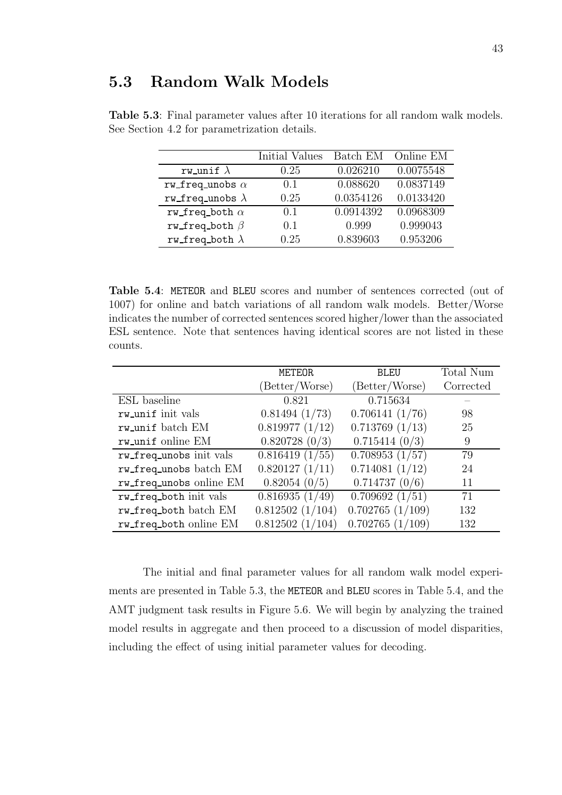|                         | Initial Values | Batch EM  | Online EM |
|-------------------------|----------------|-----------|-----------|
| rw_unif $\lambda$       | 0.25           | 0.026210  | 0.0075548 |
| rw_freq_unobs $\alpha$  | (0.1)          | 0.088620  | 0.0837149 |
| rw_freq_unobs $\lambda$ | 0.25           | 0.0354126 | 0.0133420 |
| rw_freq_both $\alpha$   | 0.1            | 0.0914392 | 0.0968309 |
| rw_freq_both $\beta$    | 0.1            | 0.999     | 0.999043  |
| rw_freq_both $\lambda$  | 0.25           | 0.839603  | 0.953206  |

Table 5.3: Final parameter values after 10 iterations for all random walk models. See Section 4.2 for parametrization details.

Table 5.4: METEOR and BLEU scores and number of sentences corrected (out of 1007) for online and batch variations of all random walk models. Better/Worse indicates the number of corrected sentences scored higher/lower than the associated ESL sentence. Note that sentences having identical scores are not listed in these counts.

|                         | METEOR          | <b>BLEU</b>         | Total Num |
|-------------------------|-----------------|---------------------|-----------|
|                         | (Better/Worse)  | (Better/Worse)      | Corrected |
| ESL baseline            | 0.821           | 0.715634            |           |
| rw_unif init vals       | 0.81494(1/73)   | 0.706141(1/76)      | 98        |
| rw_unif batch EM        | 0.819977(1/12)  | $0.713769$ $(1/13)$ | 25        |
| rw_unif online EM       | 0.820728(0/3)   | 0.715414(0/3)       | 9         |
| rw_freq_unobs init vals | 0.816419(1/55)  | 0.708953(1/57)      | 79        |
| rw_freq_unobs batch EM  | 0.820127(1/11)  | 0.714081(1/12)      | 24        |
| rw_freq_unobs online EM | 0.82054~(0/5)   | 0.714737(0/6)       | 11        |
| rw_freq_both init vals  | 0.816935(1/49)  | 0.709692(1/51)      | 71        |
| rw_freq_both batch EM   | 0.812502(1/104) | 0.702765(1/109)     | 132       |
| rw_freq_both online EM  | 0.812502(1/104) | 0.702765(1/109)     | 132       |

The initial and final parameter values for all random walk model experiments are presented in Table 5.3, the METEOR and BLEU scores in Table 5.4, and the AMT judgment task results in Figure 5.6. We will begin by analyzing the trained model results in aggregate and then proceed to a discussion of model disparities, including the effect of using initial parameter values for decoding.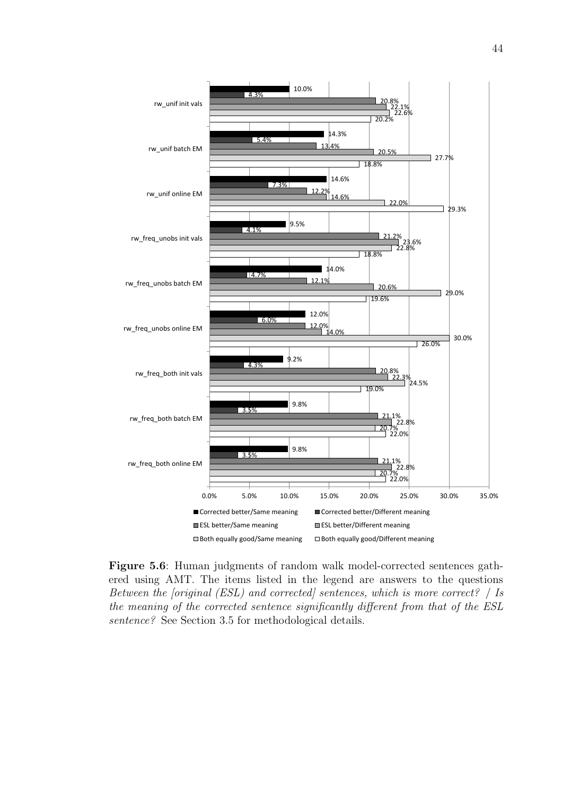

Figure 5.6: Human judgments of random walk model-corrected sentences gathered using AMT. The items listed in the legend are answers to the questions Between the [original (ESL) and corrected] sentences, which is more correct? | Is the meaning of the corrected sentence significantly different from that of the ESL sentence? See Section 3.5 for methodological details.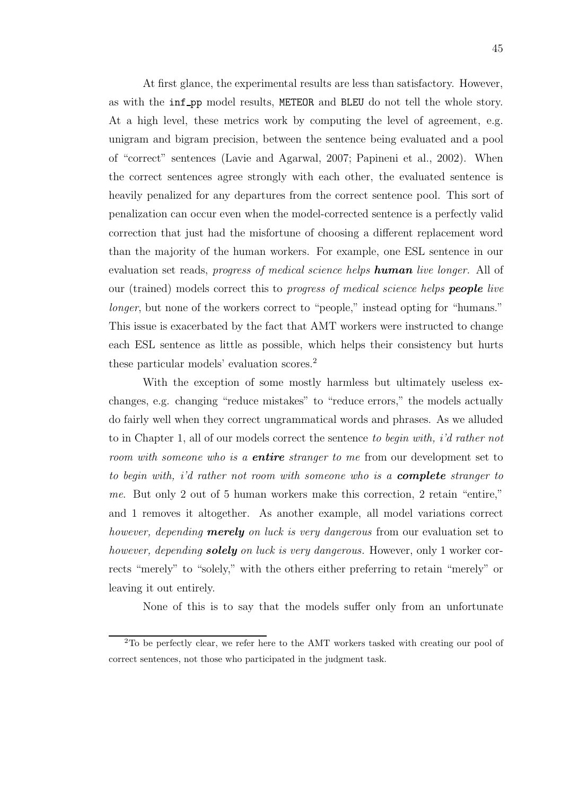At first glance, the experimental results are less than satisfactory. However, as with the inf pp model results, METEOR and BLEU do not tell the whole story. At a high level, these metrics work by computing the level of agreement, e.g. unigram and bigram precision, between the sentence being evaluated and a pool of "correct" sentences (Lavie and Agarwal, 2007; Papineni et al., 2002). When the correct sentences agree strongly with each other, the evaluated sentence is heavily penalized for any departures from the correct sentence pool. This sort of penalization can occur even when the model-corrected sentence is a perfectly valid correction that just had the misfortune of choosing a different replacement word than the majority of the human workers. For example, one ESL sentence in our evaluation set reads, *progress of medical science helps human live longer*. All of our (trained) models correct this to *progress of medical science helps* **people** live longer, but none of the workers correct to "people," instead opting for "humans." This issue is exacerbated by the fact that AMT workers were instructed to change each ESL sentence as little as possible, which helps their consistency but hurts these particular models' evaluation scores.<sup>2</sup>

With the exception of some mostly harmless but ultimately useless exchanges, e.g. changing "reduce mistakes" to "reduce errors," the models actually do fairly well when they correct ungrammatical words and phrases. As we alluded to in Chapter 1, all of our models correct the sentence to begin with, i'd rather not room with someone who is a **entire** stranger to me from our development set to to begin with, i'd rather not room with someone who is a **complete** stranger to me. But only 2 out of 5 human workers make this correction, 2 retain "entire," and 1 removes it altogether. As another example, all model variations correct however, depending **merely** on luck is very dangerous from our evaluation set to however, depending **solely** on luck is very dangerous. However, only 1 worker corrects "merely" to "solely," with the others either preferring to retain "merely" or leaving it out entirely.

None of this is to say that the models suffer only from an unfortunate

<sup>2</sup>To be perfectly clear, we refer here to the AMT workers tasked with creating our pool of correct sentences, not those who participated in the judgment task.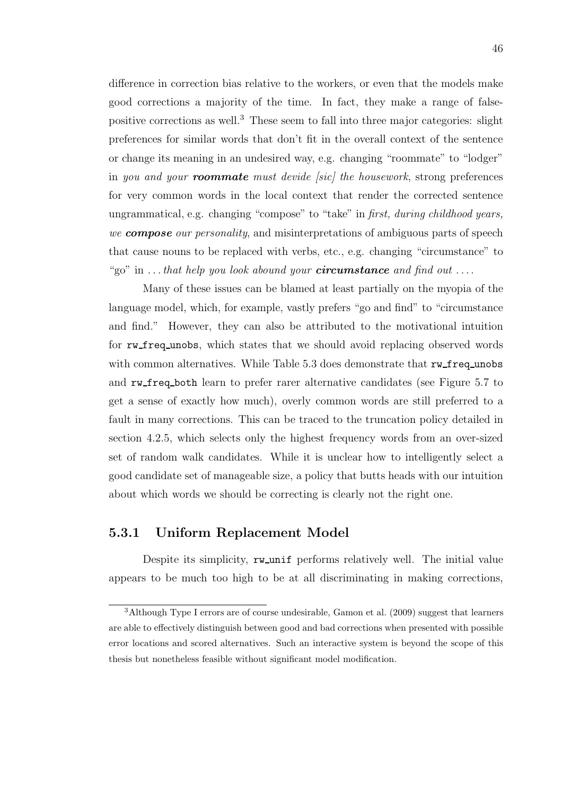difference in correction bias relative to the workers, or even that the models make good corrections a majority of the time. In fact, they make a range of falsepositive corrections as well.<sup>3</sup> These seem to fall into three major categories: slight preferences for similar words that don't fit in the overall context of the sentence or change its meaning in an undesired way, e.g. changing "roommate" to "lodger" in you and your **roommate** must devide [sic] the housework, strong preferences for very common words in the local context that render the corrected sentence ungrammatical, e.g. changing "compose" to "take" in first, during childhood years, we **compose** our personality, and misinterpretations of ambiguous parts of speech that cause nouns to be replaced with verbs, etc., e.g. changing "circumstance" to "go" in  $\dots$  that help you look abound your **circumstance** and find out  $\dots$ .

Many of these issues can be blamed at least partially on the myopia of the language model, which, for example, vastly prefers "go and find" to "circumstance and find." However, they can also be attributed to the motivational intuition for rw freq unobs, which states that we should avoid replacing observed words with common alternatives. While Table 5.3 does demonstrate that rw\_freq\_unobs and rw freq both learn to prefer rarer alternative candidates (see Figure 5.7 to get a sense of exactly how much), overly common words are still preferred to a fault in many corrections. This can be traced to the truncation policy detailed in section 4.2.5, which selects only the highest frequency words from an over-sized set of random walk candidates. While it is unclear how to intelligently select a good candidate set of manageable size, a policy that butts heads with our intuition about which words we should be correcting is clearly not the right one.

### 5.3.1 Uniform Replacement Model

Despite its simplicity, rw\_unif performs relatively well. The initial value appears to be much too high to be at all discriminating in making corrections,

<sup>&</sup>lt;sup>3</sup>Although Type I errors are of course undesirable, Gamon et al. (2009) suggest that learners are able to effectively distinguish between good and bad corrections when presented with possible error locations and scored alternatives. Such an interactive system is beyond the scope of this thesis but nonetheless feasible without significant model modification.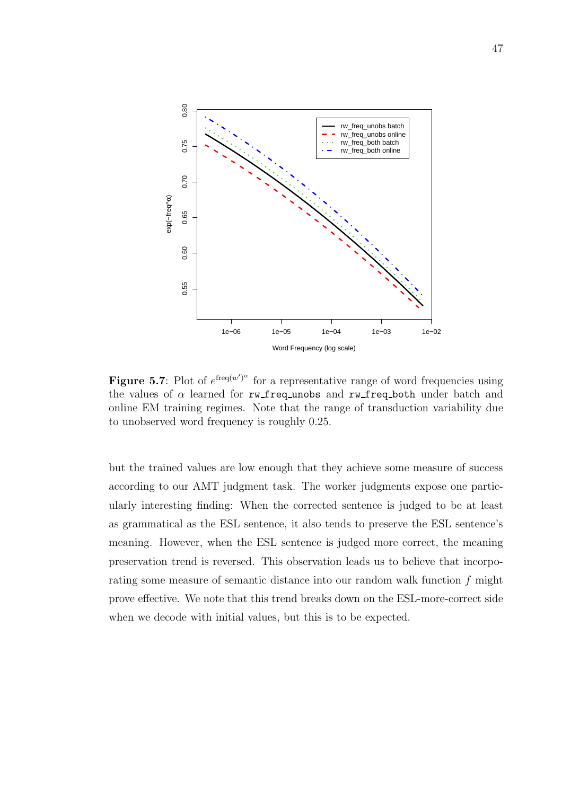

**Figure 5.7**: Plot of  $e^{\text{freq}(w')^{\alpha}}$  for a representative range of word frequencies using the values of  $\alpha$  learned for rw\_freq\_unobs and rw\_freq\_both under batch and online EM training regimes. Note that the range of transduction variability due to unobserved word frequency is roughly 0.25.

but the trained values are low enough that they achieve some measure of success according to our AMT judgment task. The worker judgments expose one particularly interesting finding: When the corrected sentence is judged to be at least as grammatical as the ESL sentence, it also tends to preserve the ESL sentence's meaning. However, when the ESL sentence is judged more correct, the meaning preservation trend is reversed. This observation leads us to believe that incorporating some measure of semantic distance into our random walk function f might prove effective. We note that this trend breaks down on the ESL-more-correct side when we decode with initial values, but this is to be expected.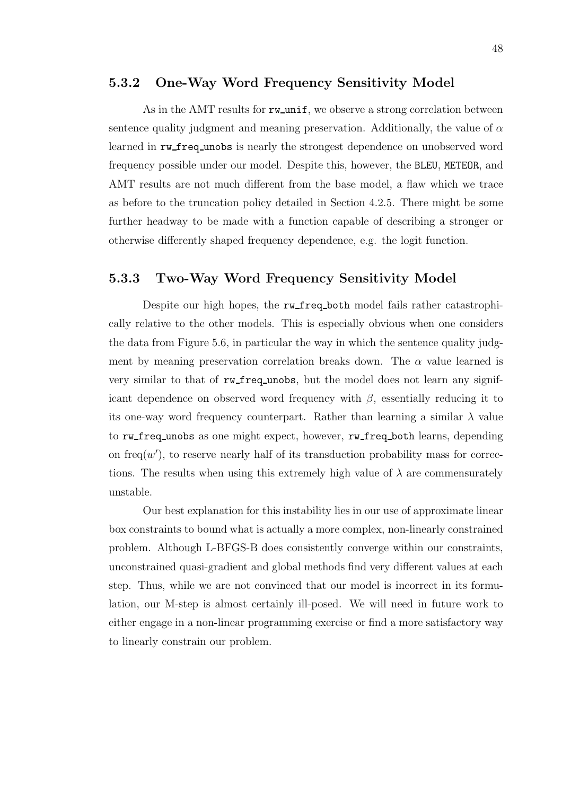#### 5.3.2 One-Way Word Frequency Sensitivity Model

As in the AMT results for  $rw\_unit$ , we observe a strong correlation between sentence quality judgment and meaning preservation. Additionally, the value of  $\alpha$ learned in rw freq unobs is nearly the strongest dependence on unobserved word frequency possible under our model. Despite this, however, the BLEU, METEOR, and AMT results are not much different from the base model, a flaw which we trace as before to the truncation policy detailed in Section 4.2.5. There might be some further headway to be made with a function capable of describing a stronger or otherwise differently shaped frequency dependence, e.g. the logit function.

### 5.3.3 Two-Way Word Frequency Sensitivity Model

Despite our high hopes, the rw freq both model fails rather catastrophically relative to the other models. This is especially obvious when one considers the data from Figure 5.6, in particular the way in which the sentence quality judgment by meaning preservation correlation breaks down. The  $\alpha$  value learned is very similar to that of rw\_freq\_unobs, but the model does not learn any significant dependence on observed word frequency with  $\beta$ , essentially reducing it to its one-way word frequency counterpart. Rather than learning a similar  $\lambda$  value to rw freq unobs as one might expect, however, rw freq both learns, depending on freq $(w')$ , to reserve nearly half of its transduction probability mass for corrections. The results when using this extremely high value of  $\lambda$  are commensurately unstable.

Our best explanation for this instability lies in our use of approximate linear box constraints to bound what is actually a more complex, non-linearly constrained problem. Although L-BFGS-B does consistently converge within our constraints, unconstrained quasi-gradient and global methods find very different values at each step. Thus, while we are not convinced that our model is incorrect in its formulation, our M-step is almost certainly ill-posed. We will need in future work to either engage in a non-linear programming exercise or find a more satisfactory way to linearly constrain our problem.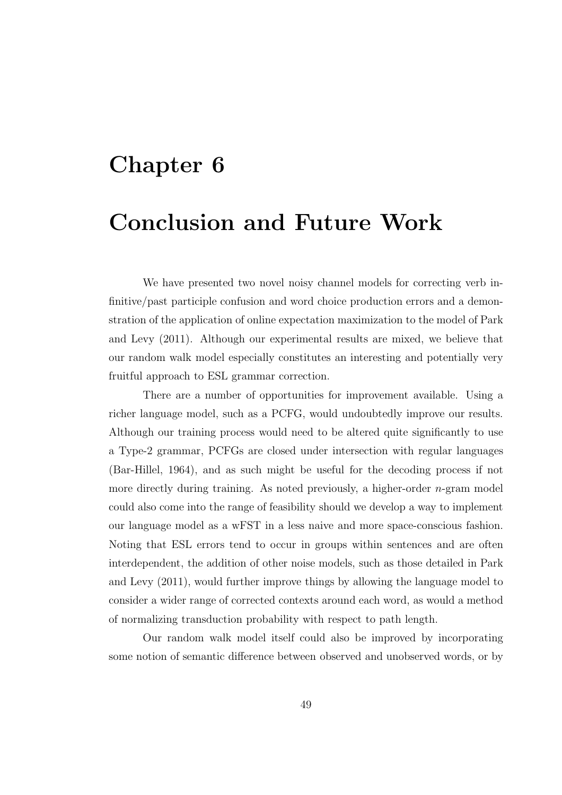# Chapter 6

# Conclusion and Future Work

We have presented two novel noisy channel models for correcting verb infinitive/past participle confusion and word choice production errors and a demonstration of the application of online expectation maximization to the model of Park and Levy (2011). Although our experimental results are mixed, we believe that our random walk model especially constitutes an interesting and potentially very fruitful approach to ESL grammar correction.

There are a number of opportunities for improvement available. Using a richer language model, such as a PCFG, would undoubtedly improve our results. Although our training process would need to be altered quite significantly to use a Type-2 grammar, PCFGs are closed under intersection with regular languages (Bar-Hillel, 1964), and as such might be useful for the decoding process if not more directly during training. As noted previously, a higher-order  $n$ -gram model could also come into the range of feasibility should we develop a way to implement our language model as a wFST in a less naive and more space-conscious fashion. Noting that ESL errors tend to occur in groups within sentences and are often interdependent, the addition of other noise models, such as those detailed in Park and Levy (2011), would further improve things by allowing the language model to consider a wider range of corrected contexts around each word, as would a method of normalizing transduction probability with respect to path length.

Our random walk model itself could also be improved by incorporating some notion of semantic difference between observed and unobserved words, or by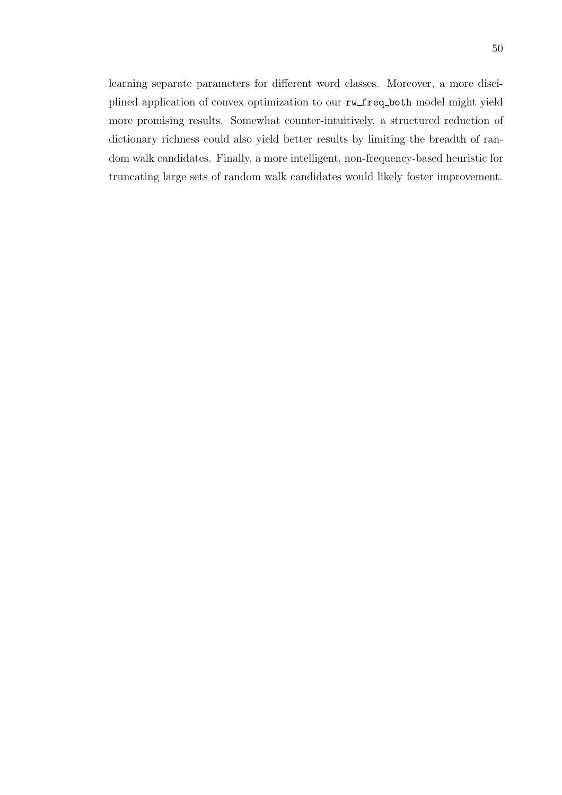learning separate parameters for different word classes. Moreover, a more disciplined application of convex optimization to our rw freq both model might yield more promising results. Somewhat counter-intuitively, a structured reduction of dictionary richness could also yield better results by limiting the breadth of random walk candidates. Finally, a more intelligent, non-frequency-based heuristic for truncating large sets of random walk candidates would likely foster improvement.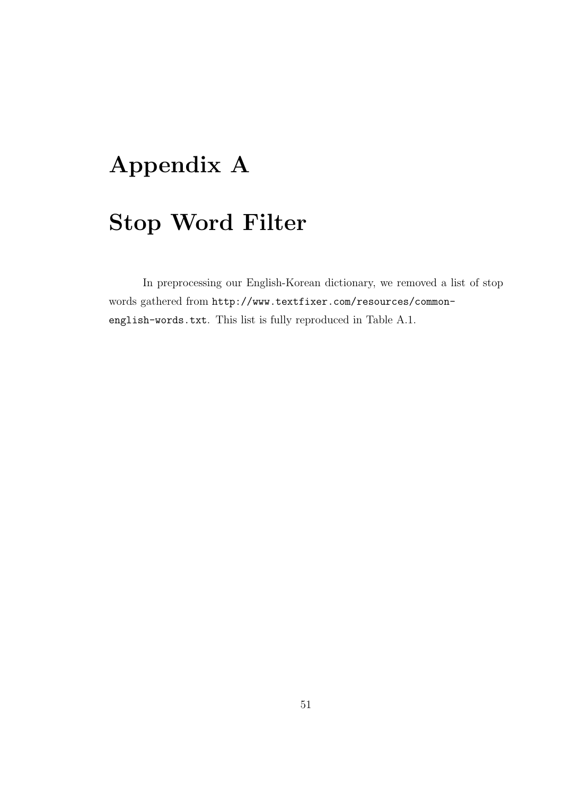# Appendix A

# Stop Word Filter

In preprocessing our English-Korean dictionary, we removed a list of stop words gathered from http://www.textfixer.com/resources/commonenglish-words.txt. This list is fully reproduced in Table A.1.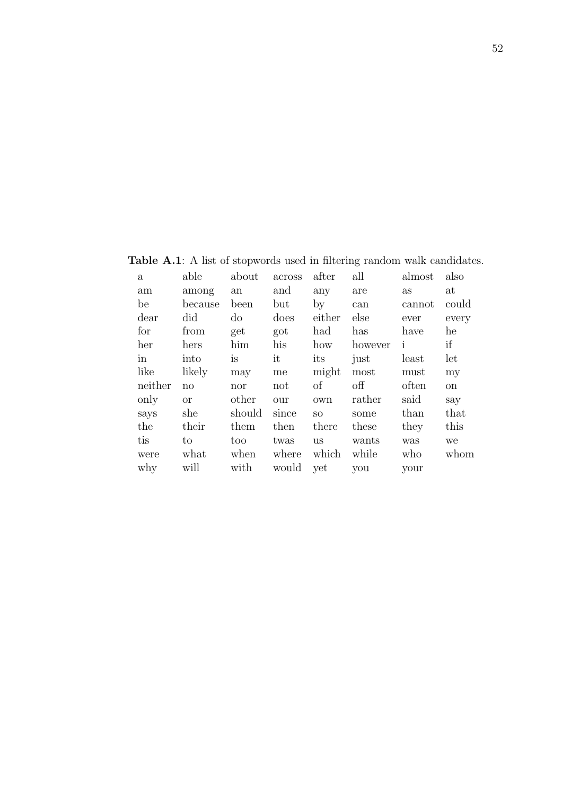a able about across after all almost also am among an and any are as at be because been but by can cannot could dear did do does either else ever every for from get got had has have he her hers him his how however i if in into is it its just least let like likely may me might most must my neither no nor not of off often on only or other our own rather said say says she should since so some than that the their them then there these they this tis to too twas us wants was we were what when where which while who whom why will with would yet you your

Table A.1: A list of stopwords used in filtering random walk candidates.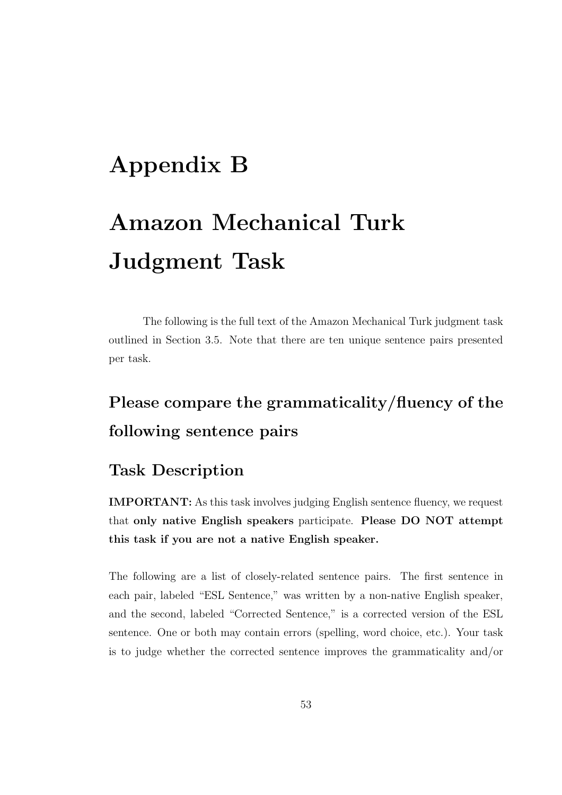# Appendix B

# Amazon Mechanical Turk Judgment Task

The following is the full text of the Amazon Mechanical Turk judgment task outlined in Section 3.5. Note that there are ten unique sentence pairs presented per task.

# Please compare the grammaticality/fluency of the following sentence pairs

### Task Description

IMPORTANT: As this task involves judging English sentence fluency, we request that only native English speakers participate. Please DO NOT attempt this task if you are not a native English speaker.

The following are a list of closely-related sentence pairs. The first sentence in each pair, labeled "ESL Sentence," was written by a non-native English speaker, and the second, labeled "Corrected Sentence," is a corrected version of the ESL sentence. One or both may contain errors (spelling, word choice, etc.). Your task is to judge whether the corrected sentence improves the grammaticality and/or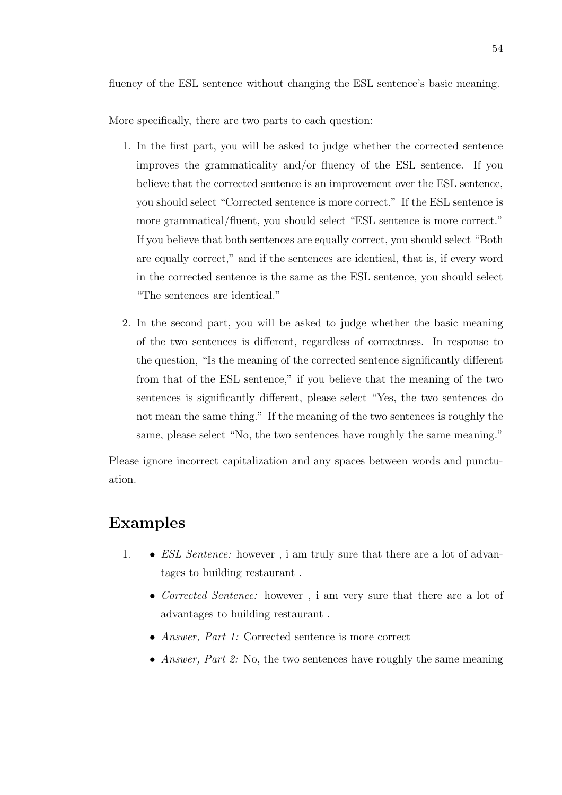fluency of the ESL sentence without changing the ESL sentence's basic meaning.

More specifically, there are two parts to each question:

- 1. In the first part, you will be asked to judge whether the corrected sentence improves the grammaticality and/or fluency of the ESL sentence. If you believe that the corrected sentence is an improvement over the ESL sentence, you should select "Corrected sentence is more correct." If the ESL sentence is more grammatical/fluent, you should select "ESL sentence is more correct." If you believe that both sentences are equally correct, you should select "Both are equally correct," and if the sentences are identical, that is, if every word in the corrected sentence is the same as the ESL sentence, you should select "The sentences are identical."
- 2. In the second part, you will be asked to judge whether the basic meaning of the two sentences is different, regardless of correctness. In response to the question, "Is the meaning of the corrected sentence significantly different from that of the ESL sentence," if you believe that the meaning of the two sentences is significantly different, please select "Yes, the two sentences do not mean the same thing." If the meaning of the two sentences is roughly the same, please select "No, the two sentences have roughly the same meaning."

Please ignore incorrect capitalization and any spaces between words and punctuation.

### Examples

- 1. *ESL Sentence:* however, i am truly sure that there are a lot of advantages to building restaurant .
	- Corrected Sentence: however, i am very sure that there are a lot of advantages to building restaurant .
	- Answer, Part 1: Corrected sentence is more correct
	- Answer, Part 2: No, the two sentences have roughly the same meaning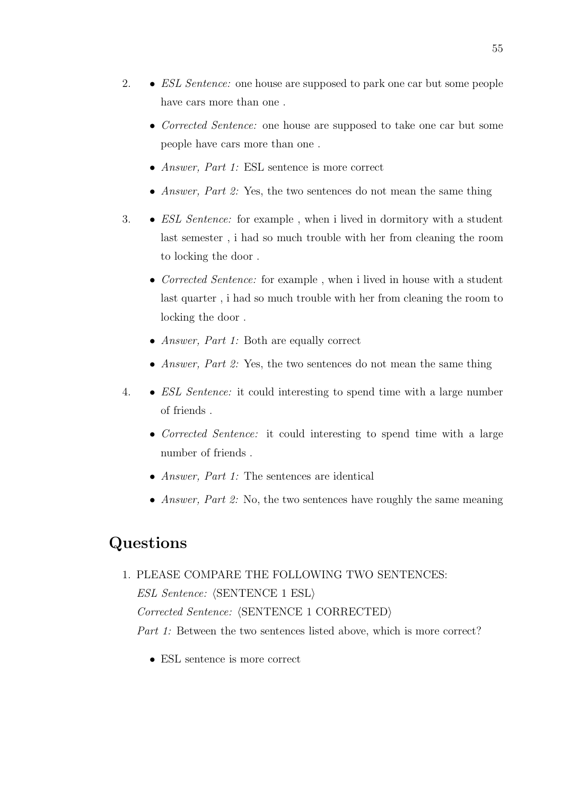- 2. *ESL Sentence:* one house are supposed to park one car but some people have cars more than one .
	- Corrected Sentence: one house are supposed to take one car but some people have cars more than one .
	- Answer, Part 1: ESL sentence is more correct
	- Answer, Part 2: Yes, the two sentences do not mean the same thing
- 3. ESL Sentence: for example , when i lived in dormitory with a student last semester , i had so much trouble with her from cleaning the room to locking the door .
	- Corrected Sentence: for example, when i lived in house with a student last quarter , i had so much trouble with her from cleaning the room to locking the door .
	- Answer, Part 1: Both are equally correct
	- Answer, Part 2: Yes, the two sentences do not mean the same thing
- 4. ESL Sentence: it could interesting to spend time with a large number of friends .
	- Corrected Sentence: it could interesting to spend time with a large number of friends .
	- *Answer, Part 1:* The sentences are identical
	- *Answer, Part 2:* No, the two sentences have roughly the same meaning

### Questions

- 1. PLEASE COMPARE THE FOLLOWING TWO SENTENCES:  $ESL$  Sentence:  $\langle$ SENTENCE 1 ESL $\rangle$  $Corrected\, \textit{Sentence:} \, \langle \text{SENTENCE 1 CORRECTED} \rangle$ Part 1: Between the two sentences listed above, which is more correct?
	- ESL sentence is more correct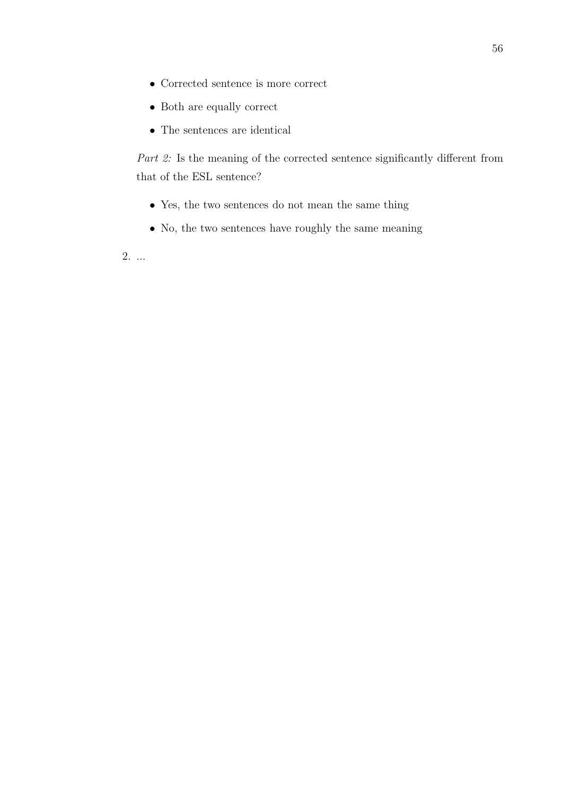- Corrected sentence is more correct
- Both are equally correct
- The sentences are identical

Part 2: Is the meaning of the corrected sentence significantly different from that of the ESL sentence?

- $\bullet\,$  Yes, the two sentences do not mean the same thing
- No, the two sentences have roughly the same meaning

2. ...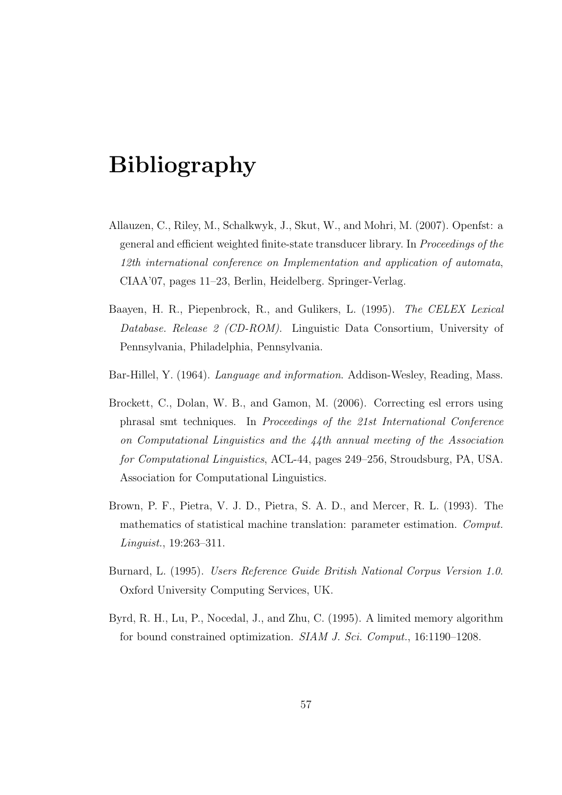# Bibliography

- Allauzen, C., Riley, M., Schalkwyk, J., Skut, W., and Mohri, M. (2007). Openfst: a general and efficient weighted finite-state transducer library. In Proceedings of the 12th international conference on Implementation and application of automata, CIAA'07, pages 11–23, Berlin, Heidelberg. Springer-Verlag.
- Baayen, H. R., Piepenbrock, R., and Gulikers, L. (1995). The CELEX Lexical Database. Release 2 (CD-ROM). Linguistic Data Consortium, University of Pennsylvania, Philadelphia, Pennsylvania.
- Bar-Hillel, Y. (1964). Language and information. Addison-Wesley, Reading, Mass.
- Brockett, C., Dolan, W. B., and Gamon, M. (2006). Correcting esl errors using phrasal smt techniques. In Proceedings of the 21st International Conference on Computational Linguistics and the 44th annual meeting of the Association for Computational Linguistics, ACL-44, pages 249–256, Stroudsburg, PA, USA. Association for Computational Linguistics.
- Brown, P. F., Pietra, V. J. D., Pietra, S. A. D., and Mercer, R. L. (1993). The mathematics of statistical machine translation: parameter estimation. Comput. Linguist., 19:263–311.
- Burnard, L. (1995). Users Reference Guide British National Corpus Version 1.0. Oxford University Computing Services, UK.
- Byrd, R. H., Lu, P., Nocedal, J., and Zhu, C. (1995). A limited memory algorithm for bound constrained optimization. SIAM J. Sci. Comput., 16:1190–1208.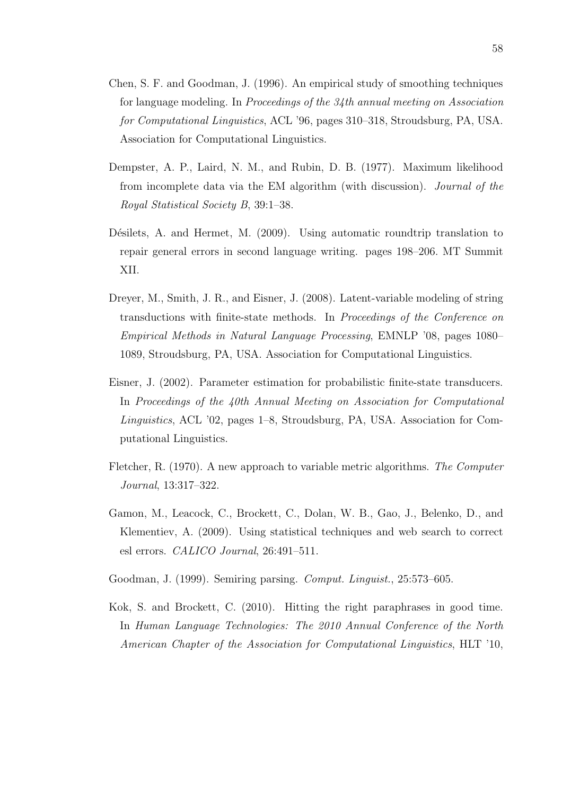- Chen, S. F. and Goodman, J. (1996). An empirical study of smoothing techniques for language modeling. In Proceedings of the 34th annual meeting on Association for Computational Linguistics, ACL '96, pages 310–318, Stroudsburg, PA, USA. Association for Computational Linguistics.
- Dempster, A. P., Laird, N. M., and Rubin, D. B. (1977). Maximum likelihood from incomplete data via the EM algorithm (with discussion). Journal of the Royal Statistical Society B, 39:1–38.
- Désilets, A. and Hermet, M. (2009). Using automatic roundtrip translation to repair general errors in second language writing. pages 198–206. MT Summit XII.
- Dreyer, M., Smith, J. R., and Eisner, J. (2008). Latent-variable modeling of string transductions with finite-state methods. In Proceedings of the Conference on Empirical Methods in Natural Language Processing, EMNLP '08, pages 1080– 1089, Stroudsburg, PA, USA. Association for Computational Linguistics.
- Eisner, J. (2002). Parameter estimation for probabilistic finite-state transducers. In Proceedings of the 40th Annual Meeting on Association for Computational Linguistics, ACL '02, pages 1–8, Stroudsburg, PA, USA. Association for Computational Linguistics.
- Fletcher, R. (1970). A new approach to variable metric algorithms. The Computer Journal, 13:317–322.
- Gamon, M., Leacock, C., Brockett, C., Dolan, W. B., Gao, J., Belenko, D., and Klementiev, A. (2009). Using statistical techniques and web search to correct esl errors. CALICO Journal, 26:491–511.
- Goodman, J. (1999). Semiring parsing. Comput. Linguist., 25:573–605.
- Kok, S. and Brockett, C. (2010). Hitting the right paraphrases in good time. In Human Language Technologies: The 2010 Annual Conference of the North American Chapter of the Association for Computational Linguistics, HLT '10,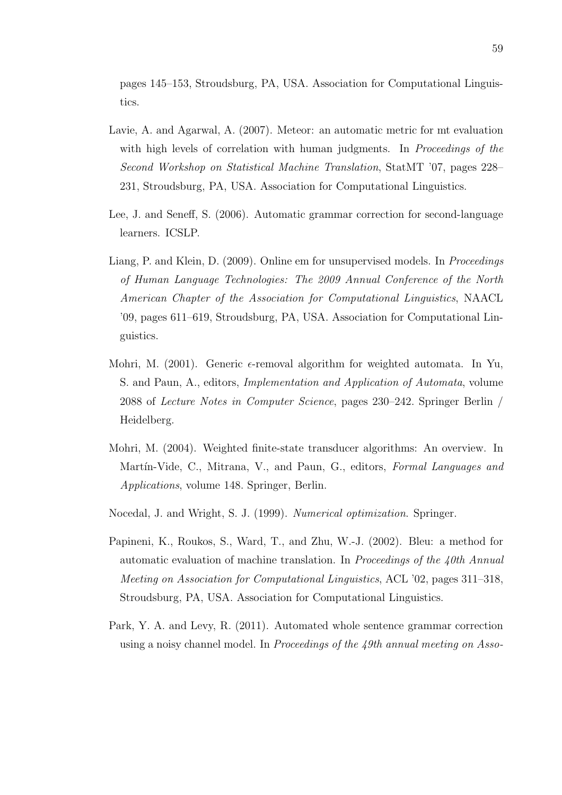pages 145–153, Stroudsburg, PA, USA. Association for Computational Linguistics.

- Lavie, A. and Agarwal, A. (2007). Meteor: an automatic metric for mt evaluation with high levels of correlation with human judgments. In Proceedings of the Second Workshop on Statistical Machine Translation, StatMT '07, pages 228– 231, Stroudsburg, PA, USA. Association for Computational Linguistics.
- Lee, J. and Seneff, S. (2006). Automatic grammar correction for second-language learners. ICSLP.
- Liang, P. and Klein, D. (2009). Online em for unsupervised models. In *Proceedings* of Human Language Technologies: The 2009 Annual Conference of the North American Chapter of the Association for Computational Linguistics, NAACL '09, pages 611–619, Stroudsburg, PA, USA. Association for Computational Linguistics.
- Mohri, M. (2001). Generic  $\epsilon$ -removal algorithm for weighted automata. In Yu, S. and Paun, A., editors, Implementation and Application of Automata, volume 2088 of Lecture Notes in Computer Science, pages 230–242. Springer Berlin / Heidelberg.
- Mohri, M. (2004). Weighted finite-state transducer algorithms: An overview. In Martín-Vide, C., Mitrana, V., and Paun, G., editors, Formal Languages and Applications, volume 148. Springer, Berlin.
- Nocedal, J. and Wright, S. J. (1999). Numerical optimization. Springer.
- Papineni, K., Roukos, S., Ward, T., and Zhu, W.-J. (2002). Bleu: a method for automatic evaluation of machine translation. In Proceedings of the 40th Annual Meeting on Association for Computational Linguistics, ACL '02, pages 311–318, Stroudsburg, PA, USA. Association for Computational Linguistics.
- Park, Y. A. and Levy, R. (2011). Automated whole sentence grammar correction using a noisy channel model. In Proceedings of the 49th annual meeting on Asso-